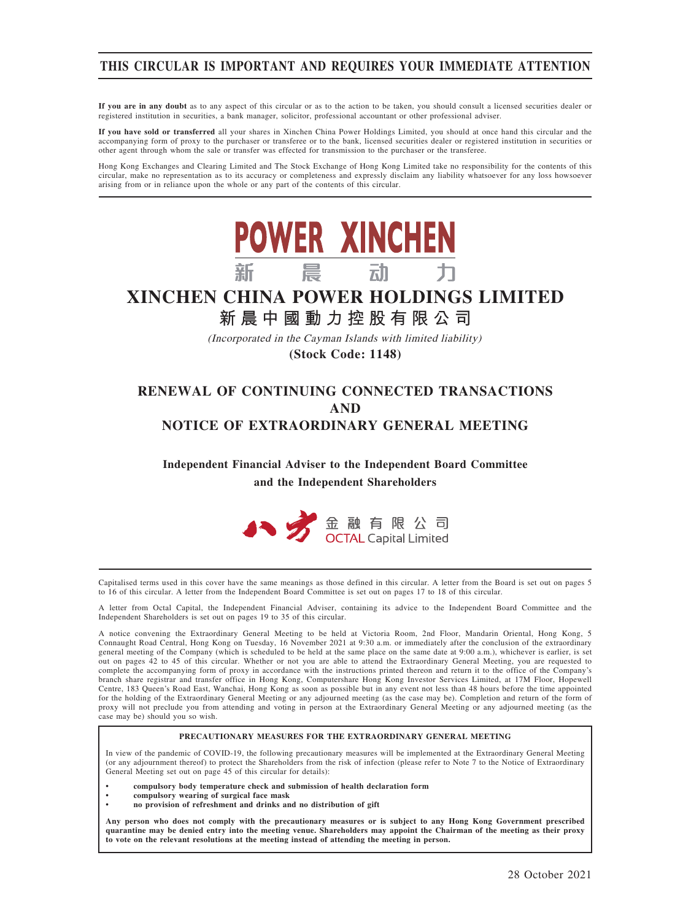# THIS CIRCULAR IS IMPORTANT AND REQUIRES YOUR IMMEDIATE ATTENTION

If you are in any doubt as to any aspect of this circular or as to the action to be taken, you should consult a licensed securities dealer or registered institution in securities, a bank manager, solicitor, professional accountant or other professional adviser.

If you have sold or transferred all your shares in Xinchen China Power Holdings Limited, you should at once hand this circular and the accompanying form of proxy to the purchaser or transferee or to the bank, licensed securities dealer or registered institution in securities or other agent through whom the sale or transfer was effected for transmission to the purchaser or the transferee.

Hong Kong Exchanges and Clearing Limited and The Stock Exchange of Hong Kong Limited take no responsibility for the contents of this<br>circular, make no representation as to its accuracy or completeness and expressly disclai arising from or in reliance upon the whole or any part of the contents of this circular.



**(Stock Code: 1148)**

# RENEWAL OF CONTINUING CONNECTED TRANSACTIONS AND NOTICE OF EXTRAORDINARY GENERAL MEETING

Independent Financial Adviser to the Independent Board Committee and the Independent Shareholders



Capitalised terms used in this cover have the same meanings as those defined in this circular. A letter from the Board is set out on pages 5 to 16 of this circular. A letter from the Independent Board Committee is set out on pages 17 to 18 of this circular.

A letter from Octal Capital, the Independent Financial Adviser, containing its advice to the Independent Board Committee and the Independent Shareholders is set out on pages 19 to 35 of this circular.

A notice convening the Extraordinary General Meeting to be held at Victoria Room, 2nd Floor, Mandarin Oriental, Hong Kong, 5 Connaught Road Central, Hong Kong on Tuesday, 16 November 2021 at 9:30 a.m. or immediately after the conclusion of the extraordinary general meeting of the Company (which is scheduled to be held at the same place on the same date at 9:00 a.m.), whichever is earlier, is set out on pages 42 to 45 of this circular. Whether or not you are able to attend the Extraordinary General Meeting, you are requested to complete the accompanying form of proxy in accordance with the instructions printed thereon and return it to the office of the Company's branch share registrar and transfer office in Hong Kong, Computershare Hong Kong Investor Services Limited, at 17M Floor, Hopewell Centre, 183 Queen's Road East, Wanchai, Hong Kong as soon as possible but in any event not less than 48 hours before the time appointed for the holding of the Extraordinary General Meeting or any adjourned meeting (as the case may be). Completion and return of the form of proxy will not preclude you from attending and voting in person at the Extraordinary General Meeting or any adjourned meeting (as the case may be) should you so wish.

#### PRECAUTIONARY MEASURES FOR THE EXTRAORDINARY GENERAL MEETING

In view of the pandemic of COVID-19, the following precautionary measures will be implemented at the Extraordinary General Meeting (or any adjournment thereof) to protect the Shareholders from the risk of infection (please refer to Note 7 to the Notice of Extraordinary General Meeting set out on page 45 of this circular for details):

- compulsory body temperature check and submission of health declaration form
- compulsory wearing of surgical face mask
- no provision of refreshment and drinks and no distribution of gift

Any person who does not comply with the precautionary measures or is subject to any Hong Kong Government prescribed quarantine may be denied entry into the meeting venue. Shareholders may appoint the Chairman of the meeting as their proxy to vote on the relevant resolutions at the meeting instead of attending the meeting in person.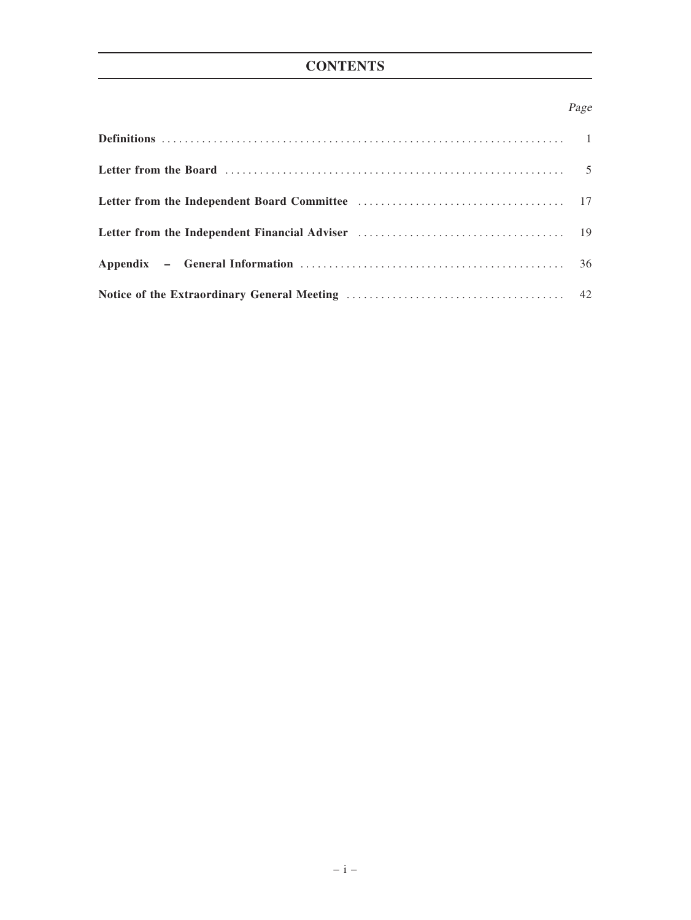# **CONTENTS**

# Page

| Letter from the Board (1000) contained a set of the Board (1000) contained a set of the Board (1000) contains the Board (1000) contains the Board (1000) contains the Board (1000) contains the Board (1000) contains the Boar |  |
|--------------------------------------------------------------------------------------------------------------------------------------------------------------------------------------------------------------------------------|--|
|                                                                                                                                                                                                                                |  |
|                                                                                                                                                                                                                                |  |
|                                                                                                                                                                                                                                |  |
|                                                                                                                                                                                                                                |  |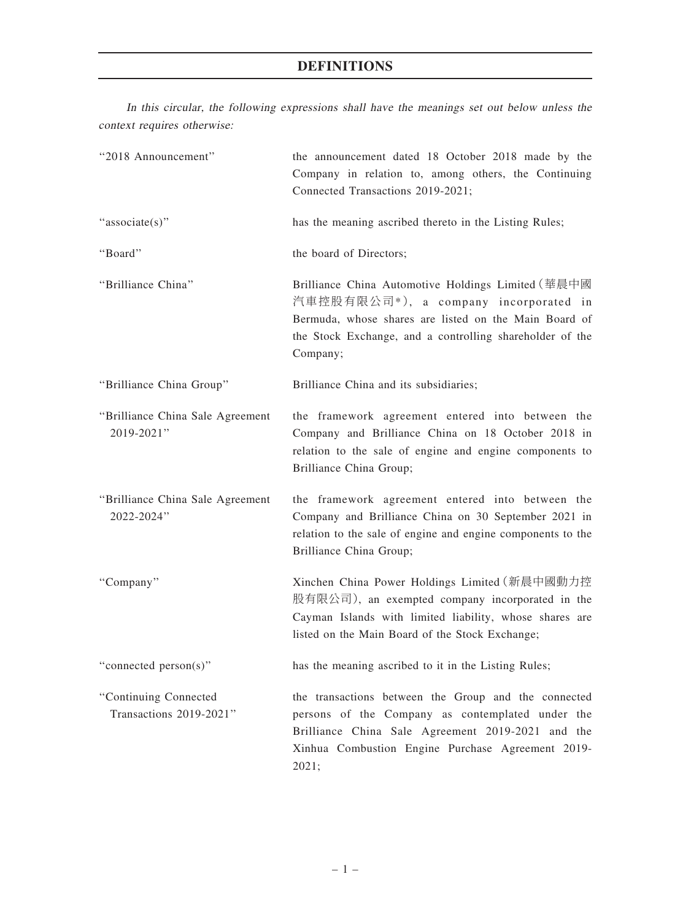# DEFINITIONS

In this circular, the following expressions shall have the meanings set out below unless the context requires otherwise:

| "2018 Announcement"                              | the announcement dated 18 October 2018 made by the<br>Company in relation to, among others, the Continuing<br>Connected Transactions 2019-2021;                                                                              |
|--------------------------------------------------|------------------------------------------------------------------------------------------------------------------------------------------------------------------------------------------------------------------------------|
| "associate(s)"                                   | has the meaning ascribed thereto in the Listing Rules;                                                                                                                                                                       |
| "Board"                                          | the board of Directors;                                                                                                                                                                                                      |
| "Brilliance China"                               | Brilliance China Automotive Holdings Limited (華晨中國<br>汽車控股有限公司*), a company incorporated in<br>Bermuda, whose shares are listed on the Main Board of<br>the Stock Exchange, and a controlling shareholder of the<br>Company; |
| "Brilliance China Group"                         | Brilliance China and its subsidiaries;                                                                                                                                                                                       |
| "Brilliance China Sale Agreement<br>2019-2021"   | the framework agreement entered into between the<br>Company and Brilliance China on 18 October 2018 in<br>relation to the sale of engine and engine components to<br>Brilliance China Group;                                 |
| "Brilliance China Sale Agreement<br>2022-2024"   | the framework agreement entered into between the<br>Company and Brilliance China on 30 September 2021 in<br>relation to the sale of engine and engine components to the<br>Brilliance China Group;                           |
| "Company"                                        | Xinchen China Power Holdings Limited (新晨中國動力控<br>股有限公司), an exempted company incorporated in the<br>Cayman Islands with limited liability, whose shares are<br>listed on the Main Board of the Stock Exchange;               |
| "connected person(s)"                            | has the meaning ascribed to it in the Listing Rules;                                                                                                                                                                         |
| "Continuing Connected<br>Transactions 2019-2021" | the transactions between the Group and the connected<br>persons of the Company as contemplated under the<br>Brilliance China Sale Agreement 2019-2021 and the<br>Xinhua Combustion Engine Purchase Agreement 2019-<br>2021;  |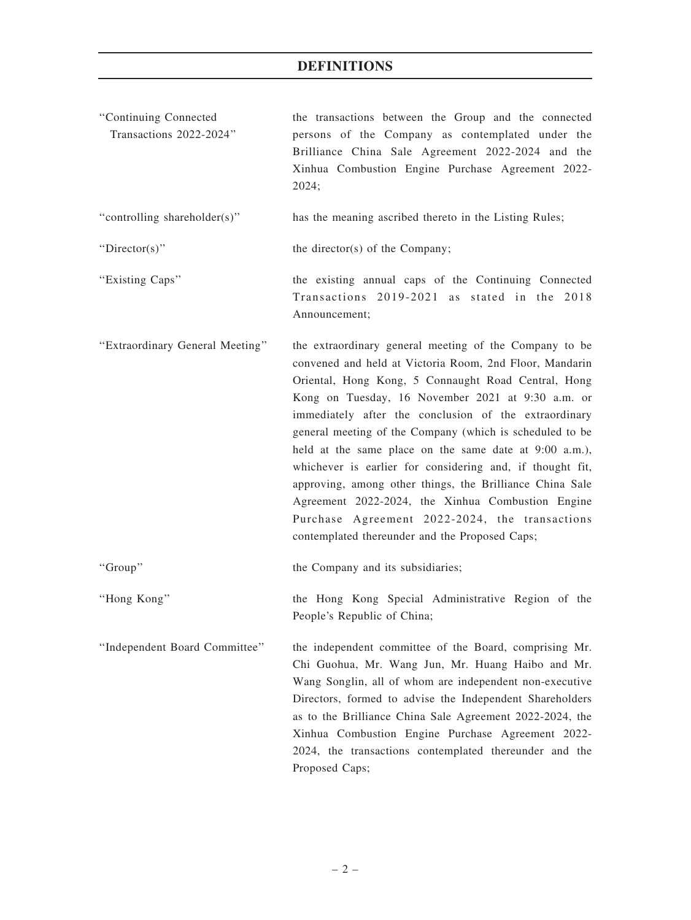# DEFINITIONS

| "Continuing Connected<br>Transactions 2022-2024" | the transactions between the Group and the connected<br>persons of the Company as contemplated under the<br>Brilliance China Sale Agreement 2022-2024 and the<br>Xinhua Combustion Engine Purchase Agreement 2022-<br>2024;                                                                                                                                                                                                                                                                                                                                                                                                                                                                    |
|--------------------------------------------------|------------------------------------------------------------------------------------------------------------------------------------------------------------------------------------------------------------------------------------------------------------------------------------------------------------------------------------------------------------------------------------------------------------------------------------------------------------------------------------------------------------------------------------------------------------------------------------------------------------------------------------------------------------------------------------------------|
| "controlling shareholder(s)"                     | has the meaning ascribed thereto in the Listing Rules;                                                                                                                                                                                                                                                                                                                                                                                                                                                                                                                                                                                                                                         |
| " $Directory$ "                                  | the director(s) of the Company;                                                                                                                                                                                                                                                                                                                                                                                                                                                                                                                                                                                                                                                                |
| "Existing Caps"                                  | the existing annual caps of the Continuing Connected<br>Transactions 2019-2021 as stated in the 2018<br>Announcement;                                                                                                                                                                                                                                                                                                                                                                                                                                                                                                                                                                          |
| "Extraordinary General Meeting"                  | the extraordinary general meeting of the Company to be<br>convened and held at Victoria Room, 2nd Floor, Mandarin<br>Oriental, Hong Kong, 5 Connaught Road Central, Hong<br>Kong on Tuesday, 16 November 2021 at 9:30 a.m. or<br>immediately after the conclusion of the extraordinary<br>general meeting of the Company (which is scheduled to be<br>held at the same place on the same date at 9:00 a.m.),<br>whichever is earlier for considering and, if thought fit,<br>approving, among other things, the Brilliance China Sale<br>Agreement 2022-2024, the Xinhua Combustion Engine<br>Purchase Agreement 2022-2024, the transactions<br>contemplated thereunder and the Proposed Caps; |
| "Group"                                          | the Company and its subsidiaries;                                                                                                                                                                                                                                                                                                                                                                                                                                                                                                                                                                                                                                                              |
| "Hong Kong"                                      | the Hong Kong Special Administrative Region of the<br>People's Republic of China;                                                                                                                                                                                                                                                                                                                                                                                                                                                                                                                                                                                                              |
| "Independent Board Committee"                    | the independent committee of the Board, comprising Mr.<br>Chi Guohua, Mr. Wang Jun, Mr. Huang Haibo and Mr.<br>Wang Songlin, all of whom are independent non-executive<br>Directors, formed to advise the Independent Shareholders<br>as to the Brilliance China Sale Agreement 2022-2024, the<br>Xinhua Combustion Engine Purchase Agreement 2022-<br>2024, the transactions contemplated thereunder and the<br>Proposed Caps;                                                                                                                                                                                                                                                                |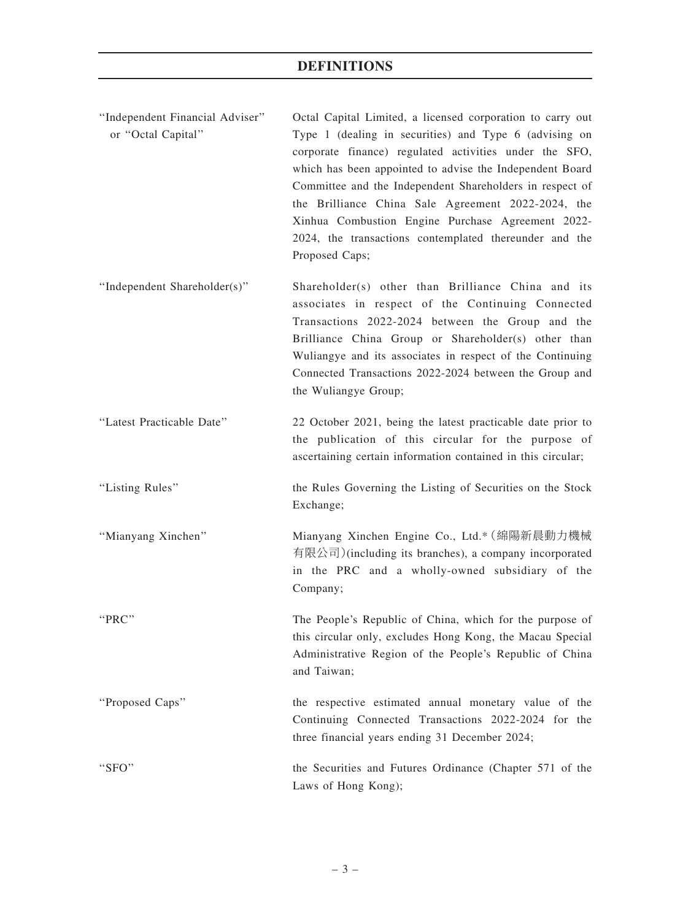| "Independent Financial Adviser"<br>or "Octal Capital" | Octal Capital Limited, a licensed corporation to carry out<br>Type 1 (dealing in securities) and Type 6 (advising on<br>corporate finance) regulated activities under the SFO,<br>which has been appointed to advise the Independent Board<br>Committee and the Independent Shareholders in respect of<br>the Brilliance China Sale Agreement 2022-2024, the<br>Xinhua Combustion Engine Purchase Agreement 2022-<br>2024, the transactions contemplated thereunder and the<br>Proposed Caps; |
|-------------------------------------------------------|-----------------------------------------------------------------------------------------------------------------------------------------------------------------------------------------------------------------------------------------------------------------------------------------------------------------------------------------------------------------------------------------------------------------------------------------------------------------------------------------------|
| "Independent Shareholder(s)"                          | Shareholder(s) other than Brilliance China and its<br>associates in respect of the Continuing Connected<br>Transactions 2022-2024 between the Group and the<br>Brilliance China Group or Shareholder(s) other than<br>Wuliangye and its associates in respect of the Continuing<br>Connected Transactions 2022-2024 between the Group and<br>the Wuliangye Group;                                                                                                                             |
| "Latest Practicable Date"                             | 22 October 2021, being the latest practicable date prior to<br>the publication of this circular for the purpose of<br>ascertaining certain information contained in this circular;                                                                                                                                                                                                                                                                                                            |
| "Listing Rules"                                       | the Rules Governing the Listing of Securities on the Stock<br>Exchange;                                                                                                                                                                                                                                                                                                                                                                                                                       |
| "Mianyang Xinchen"                                    | Mianyang Xinchen Engine Co., Ltd.* (綿陽新晨動力機械<br>有限公司)(including its branches), a company incorporated<br>in the PRC and a wholly-owned subsidiary of the<br>Company;                                                                                                                                                                                                                                                                                                                          |
| "PRC"                                                 | The People's Republic of China, which for the purpose of<br>this circular only, excludes Hong Kong, the Macau Special<br>Administrative Region of the People's Republic of China<br>and Taiwan;                                                                                                                                                                                                                                                                                               |
| "Proposed Caps"                                       | the respective estimated annual monetary value of the<br>Continuing Connected Transactions 2022-2024 for the<br>three financial years ending 31 December 2024;                                                                                                                                                                                                                                                                                                                                |
| " $SFO"$                                              | the Securities and Futures Ordinance (Chapter 571 of the<br>Laws of Hong Kong);                                                                                                                                                                                                                                                                                                                                                                                                               |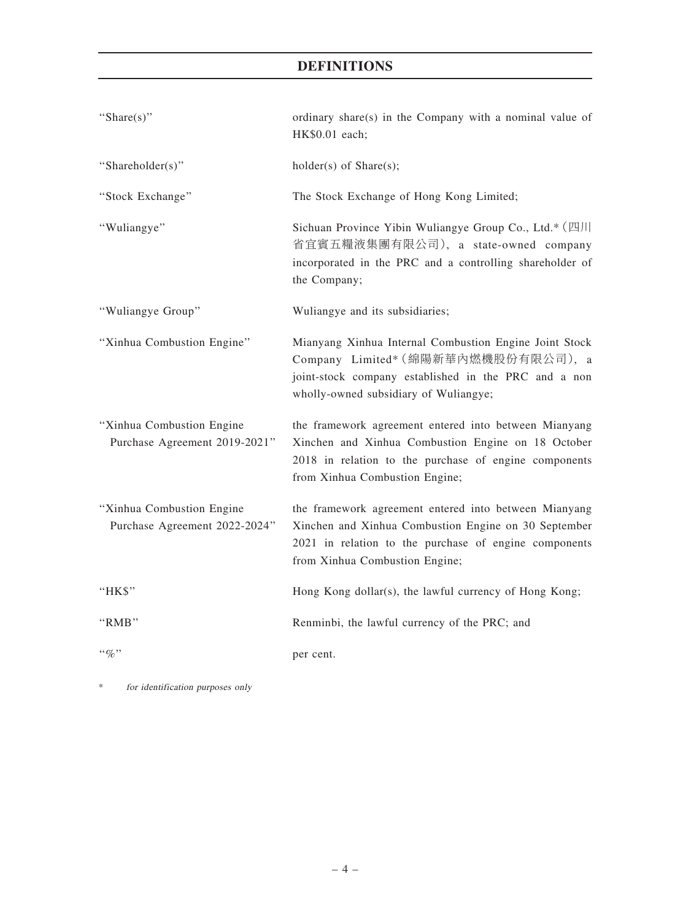# DEFINITIONS

| "Share(s)"                                                 | ordinary share(s) in the Company with a nominal value of<br>HK\$0.01 each;                                                                                                                               |
|------------------------------------------------------------|----------------------------------------------------------------------------------------------------------------------------------------------------------------------------------------------------------|
| "Shareholder(s)"                                           | $holder(s)$ of Share $(s)$ ;                                                                                                                                                                             |
| "Stock Exchange"                                           | The Stock Exchange of Hong Kong Limited;                                                                                                                                                                 |
| "Wuliangye"                                                | Sichuan Province Yibin Wuliangye Group Co., Ltd.* (四川<br>省宜賓五糧液集團有限公司), a state-owned company<br>incorporated in the PRC and a controlling shareholder of<br>the Company;                                |
| "Wuliangye Group"                                          | Wuliangye and its subsidiaries;                                                                                                                                                                          |
| "Xinhua Combustion Engine"                                 | Mianyang Xinhua Internal Combustion Engine Joint Stock<br>Company Limited* (綿陽新華內燃機股份有限公司), a<br>joint-stock company established in the PRC and a non<br>wholly-owned subsidiary of Wuliangye;           |
| "Xinhua Combustion Engine<br>Purchase Agreement 2019-2021" | the framework agreement entered into between Mianyang<br>Xinchen and Xinhua Combustion Engine on 18 October<br>2018 in relation to the purchase of engine components<br>from Xinhua Combustion Engine;   |
| "Xinhua Combustion Engine<br>Purchase Agreement 2022-2024" | the framework agreement entered into between Mianyang<br>Xinchen and Xinhua Combustion Engine on 30 September<br>2021 in relation to the purchase of engine components<br>from Xinhua Combustion Engine; |
| "HK\$"                                                     | Hong Kong dollar(s), the lawful currency of Hong Kong;                                                                                                                                                   |
| "RMB"                                                      | Renminbi, the lawful currency of the PRC; and                                                                                                                                                            |
| $``q_0"$                                                   | per cent.                                                                                                                                                                                                |

\* for identification purposes only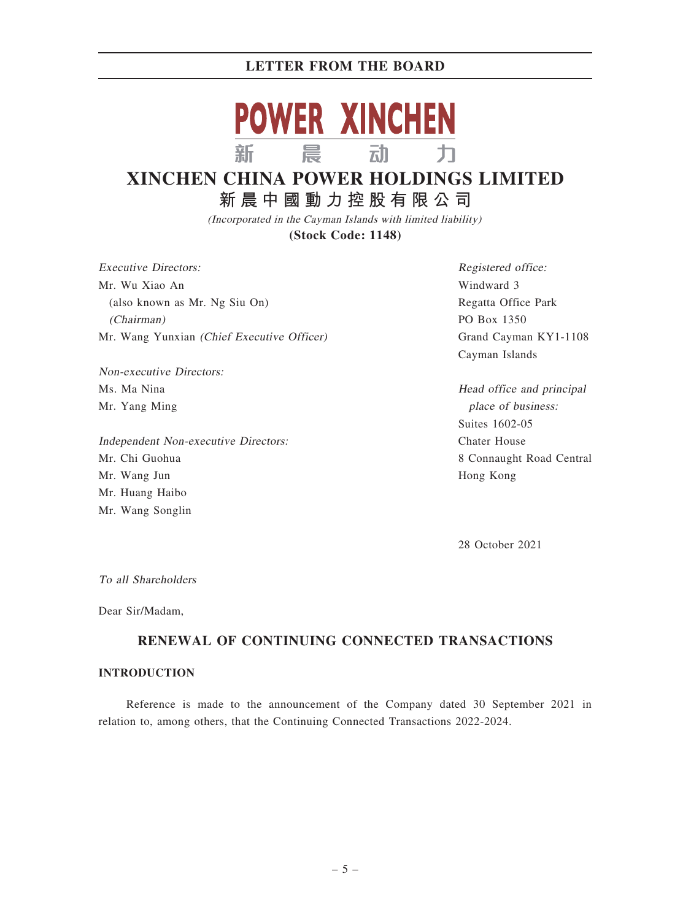

# **XINCHEN CHINA POWER HOLDINGS LIMITED 新晨中國動力控股有限公司**

(Incorporated in the Cayman Islands with limited liability) **(Stock Code: 1148)**

Executive Directors: Mr. Wu Xiao An (also known as Mr. Ng Siu On) (Chairman) Mr. Wang Yunxian (Chief Executive Officer)

Non-executive Directors: Ms. Ma Nina Mr. Yang Ming

Independent Non-executive Directors: Mr. Chi Guohua Mr. Wang Jun Mr. Huang Haibo Mr. Wang Songlin

Registered office: Windward 3 Regatta Office Park PO Box 1350 Grand Cayman KY1-1108 Cayman Islands

Head office and principal place of business: Suites 1602-05 Chater House 8 Connaught Road Central Hong Kong

28 October 2021

To all Shareholders

Dear Sir/Madam,

# RENEWAL OF CONTINUING CONNECTED TRANSACTIONS

## INTRODUCTION

Reference is made to the announcement of the Company dated 30 September 2021 in relation to, among others, that the Continuing Connected Transactions 2022-2024.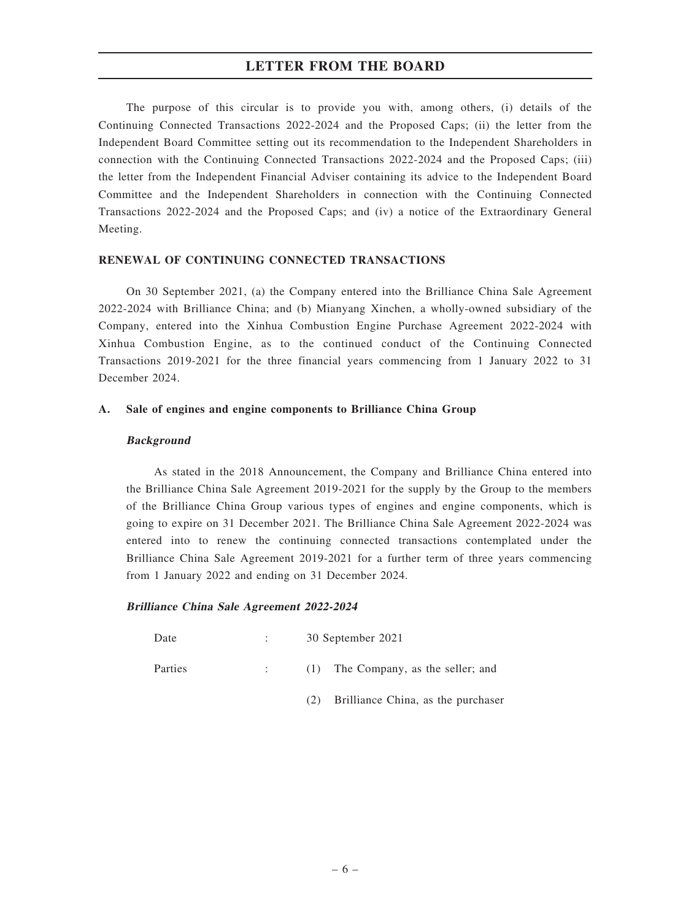The purpose of this circular is to provide you with, among others, (i) details of the Continuing Connected Transactions 2022-2024 and the Proposed Caps; (ii) the letter from the Independent Board Committee setting out its recommendation to the Independent Shareholders in connection with the Continuing Connected Transactions 2022-2024 and the Proposed Caps; (iii) the letter from the Independent Financial Adviser containing its advice to the Independent Board Committee and the Independent Shareholders in connection with the Continuing Connected Transactions 2022-2024 and the Proposed Caps; and (iv) a notice of the Extraordinary General Meeting.

### RENEWAL OF CONTINUING CONNECTED TRANSACTIONS

On 30 September 2021, (a) the Company entered into the Brilliance China Sale Agreement 2022-2024 with Brilliance China; and (b) Mianyang Xinchen, a wholly-owned subsidiary of the Company, entered into the Xinhua Combustion Engine Purchase Agreement 2022-2024 with Xinhua Combustion Engine, as to the continued conduct of the Continuing Connected Transactions 2019-2021 for the three financial years commencing from 1 January 2022 to 31 December 2024.

### A. Sale of engines and engine components to Brilliance China Group

### Background

As stated in the 2018 Announcement, the Company and Brilliance China entered into the Brilliance China Sale Agreement 2019-2021 for the supply by the Group to the members of the Brilliance China Group various types of engines and engine components, which is going to expire on 31 December 2021. The Brilliance China Sale Agreement 2022-2024 was entered into to renew the continuing connected transactions contemplated under the Brilliance China Sale Agreement 2019-2021 for a further term of three years commencing from 1 January 2022 and ending on 31 December 2024.

### Brilliance China Sale Agreement 2022-2024

- Date : 30 September 2021
- Parties : (1) The Company, as the seller; and
	- (2) Brilliance China, as the purchaser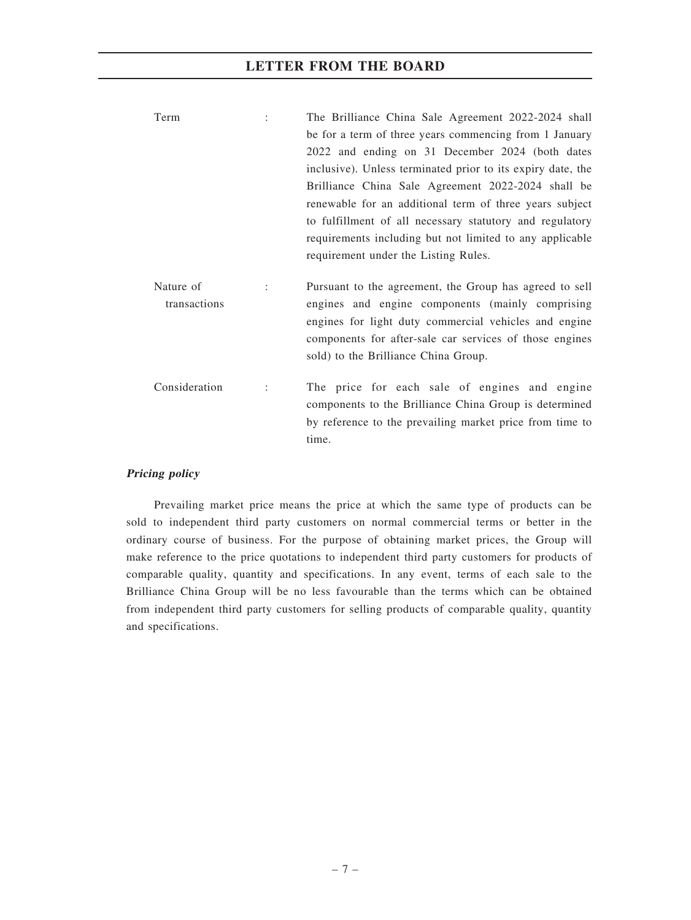| Term | The Brilliance China Sale Agreement 2022-2024 shall         |
|------|-------------------------------------------------------------|
|      | be for a term of three years commencing from 1 January      |
|      | 2022 and ending on 31 December 2024 (both dates             |
|      | inclusive). Unless terminated prior to its expiry date, the |
|      | Brilliance China Sale Agreement 2022-2024 shall be          |
|      | renewable for an additional term of three years subject     |
|      | to fulfillment of all necessary statutory and regulatory    |
|      | requirements including but not limited to any applicable    |
|      | requirement under the Listing Rules.                        |
|      |                                                             |

Nature of transactions : Pursuant to the agreement, the Group has agreed to sell engines and engine components (mainly comprising engines for light duty commercial vehicles and engine components for after-sale car services of those engines sold) to the Brilliance China Group.

Consideration : The price for each sale of engines and engine components to the Brilliance China Group is determined by reference to the prevailing market price from time to time.

### Pricing policy

Prevailing market price means the price at which the same type of products can be sold to independent third party customers on normal commercial terms or better in the ordinary course of business. For the purpose of obtaining market prices, the Group will make reference to the price quotations to independent third party customers for products of comparable quality, quantity and specifications. In any event, terms of each sale to the Brilliance China Group will be no less favourable than the terms which can be obtained from independent third party customers for selling products of comparable quality, quantity and specifications.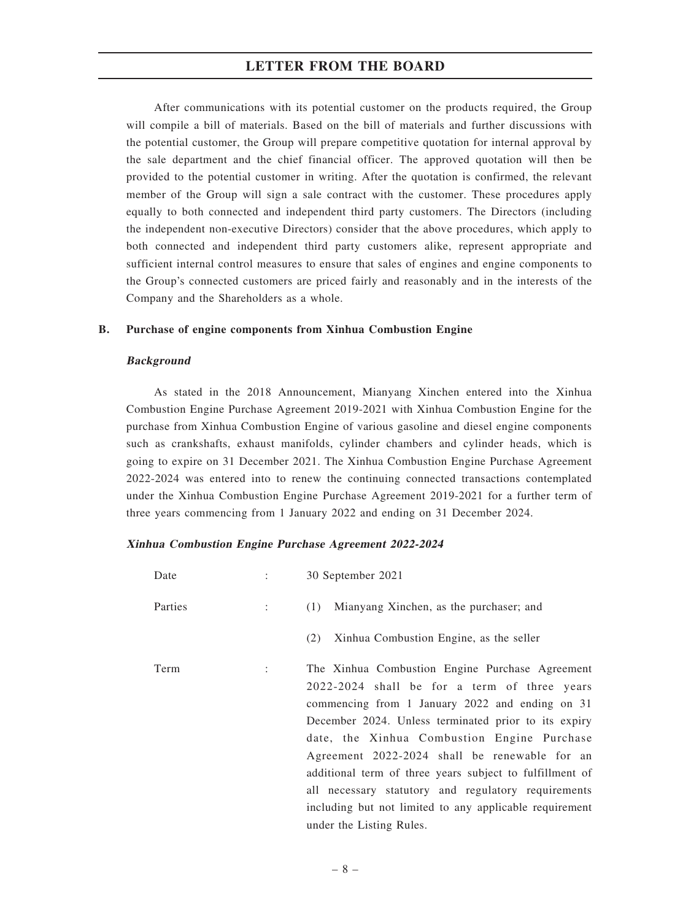After communications with its potential customer on the products required, the Group will compile a bill of materials. Based on the bill of materials and further discussions with the potential customer, the Group will prepare competitive quotation for internal approval by the sale department and the chief financial officer. The approved quotation will then be provided to the potential customer in writing. After the quotation is confirmed, the relevant member of the Group will sign a sale contract with the customer. These procedures apply equally to both connected and independent third party customers. The Directors (including the independent non-executive Directors) consider that the above procedures, which apply to both connected and independent third party customers alike, represent appropriate and sufficient internal control measures to ensure that sales of engines and engine components to the Group's connected customers are priced fairly and reasonably and in the interests of the Company and the Shareholders as a whole.

### B. Purchase of engine components from Xinhua Combustion Engine

### Background

As stated in the 2018 Announcement, Mianyang Xinchen entered into the Xinhua Combustion Engine Purchase Agreement 2019-2021 with Xinhua Combustion Engine for the purchase from Xinhua Combustion Engine of various gasoline and diesel engine components such as crankshafts, exhaust manifolds, cylinder chambers and cylinder heads, which is going to expire on 31 December 2021. The Xinhua Combustion Engine Purchase Agreement 2022-2024 was entered into to renew the continuing connected transactions contemplated under the Xinhua Combustion Engine Purchase Agreement 2019-2021 for a further term of three years commencing from 1 January 2022 and ending on 31 December 2024.

### Xinhua Combustion Engine Purchase Agreement 2022-2024

| Date    | 30 September 2021                                                                                                                                                                                                                                                                                                                                                                                                                                                                                                    |
|---------|----------------------------------------------------------------------------------------------------------------------------------------------------------------------------------------------------------------------------------------------------------------------------------------------------------------------------------------------------------------------------------------------------------------------------------------------------------------------------------------------------------------------|
| Parties | Mianyang Xinchen, as the purchaser; and<br>(1)                                                                                                                                                                                                                                                                                                                                                                                                                                                                       |
|         | Xinhua Combustion Engine, as the seller<br>(2)                                                                                                                                                                                                                                                                                                                                                                                                                                                                       |
| Term    | The Xinhua Combustion Engine Purchase Agreement<br>2022-2024 shall be for a term of three years<br>commencing from 1 January 2022 and ending on 31<br>December 2024. Unless terminated prior to its expiry<br>date, the Xinhua Combustion Engine Purchase<br>Agreement 2022-2024 shall be renewable for an<br>additional term of three years subject to fulfillment of<br>all necessary statutory and regulatory requirements<br>including but not limited to any applicable requirement<br>under the Listing Rules. |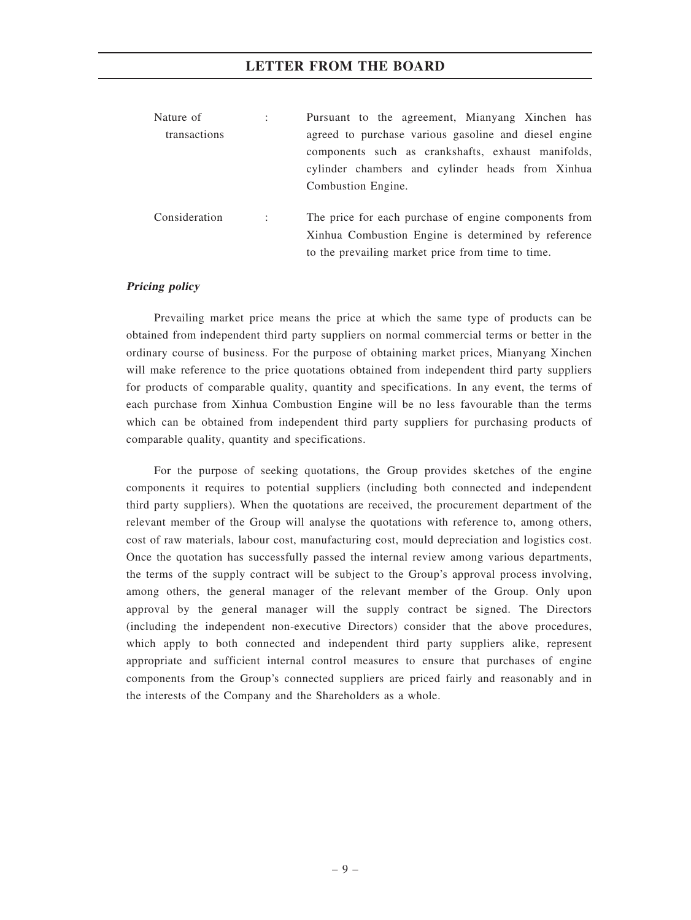| Nature of     | $\ddot{\phantom{a}}$ | Pursuant to the agreement, Mianyang Xinchen has                                                                                                                   |  |  |  |  |
|---------------|----------------------|-------------------------------------------------------------------------------------------------------------------------------------------------------------------|--|--|--|--|
| transactions  |                      | agreed to purchase various gasoline and diesel engine<br>components such as crankshafts, exhaust manifolds,                                                       |  |  |  |  |
|               |                      | cylinder chambers and cylinder heads from Xinhua<br>Combustion Engine.                                                                                            |  |  |  |  |
| Consideration | $\cdot$ :            | The price for each purchase of engine components from<br>Xinhua Combustion Engine is determined by reference<br>to the prevailing market price from time to time. |  |  |  |  |

### Pricing policy

Prevailing market price means the price at which the same type of products can be obtained from independent third party suppliers on normal commercial terms or better in the ordinary course of business. For the purpose of obtaining market prices, Mianyang Xinchen will make reference to the price quotations obtained from independent third party suppliers for products of comparable quality, quantity and specifications. In any event, the terms of each purchase from Xinhua Combustion Engine will be no less favourable than the terms which can be obtained from independent third party suppliers for purchasing products of comparable quality, quantity and specifications.

For the purpose of seeking quotations, the Group provides sketches of the engine components it requires to potential suppliers (including both connected and independent third party suppliers). When the quotations are received, the procurement department of the relevant member of the Group will analyse the quotations with reference to, among others, cost of raw materials, labour cost, manufacturing cost, mould depreciation and logistics cost. Once the quotation has successfully passed the internal review among various departments, the terms of the supply contract will be subject to the Group's approval process involving, among others, the general manager of the relevant member of the Group. Only upon approval by the general manager will the supply contract be signed. The Directors (including the independent non-executive Directors) consider that the above procedures, which apply to both connected and independent third party suppliers alike, represent appropriate and sufficient internal control measures to ensure that purchases of engine components from the Group's connected suppliers are priced fairly and reasonably and in the interests of the Company and the Shareholders as a whole.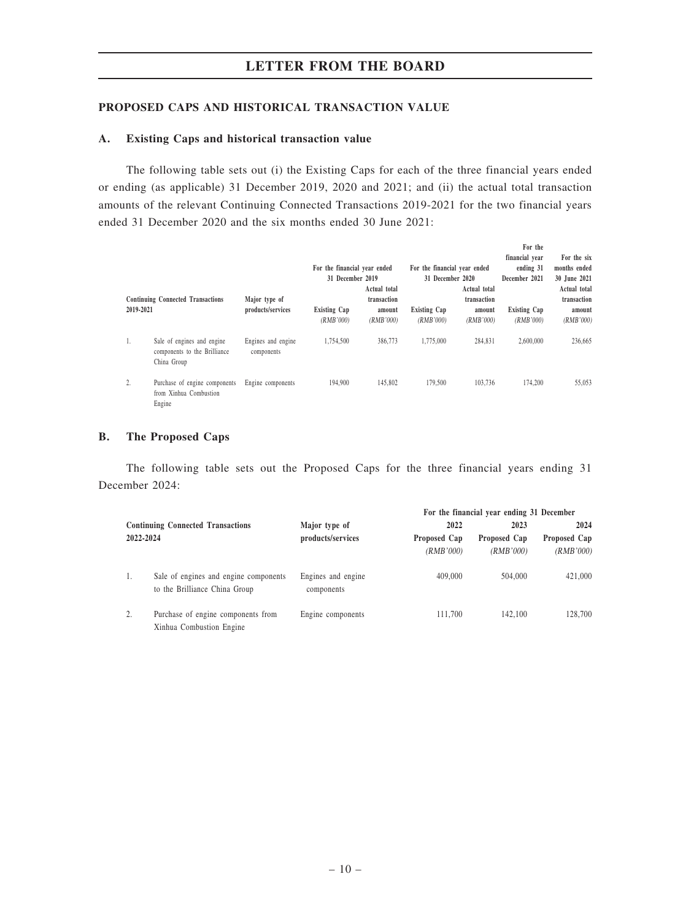### PROPOSED CAPS AND HISTORICAL TRANSACTION VALUE

### A. Existing Caps and historical transaction value

The following table sets out (i) the Existing Caps for each of the three financial years ended or ending (as applicable) 31 December 2019, 2020 and 2021; and (ii) the actual total transaction amounts of the relevant Continuing Connected Transactions 2019-2021 for the two financial years ended 31 December 2020 and the six months ended 30 June 2021:

| 2019-2021 | <b>Continuing Connected Transactions</b>                                  | Major type of<br>products/services | For the financial year ended<br>31 December 2019<br><b>Existing Cap</b><br>(RMB'000) | Actual total<br>transaction<br>amount<br>(RMB'000) | For the financial year ended<br>31 December 2020<br><b>Existing Cap</b><br>(RMB'000) | Actual total<br>transaction<br>amount<br>(RMB'000) | For the<br>financial vear<br>ending 31<br>December 2021<br>Existing Cap<br>(RMB'000) | For the six<br>months ended<br>30 June 2021<br>Actual total<br>transaction<br>amount<br>(RMB'000) |
|-----------|---------------------------------------------------------------------------|------------------------------------|--------------------------------------------------------------------------------------|----------------------------------------------------|--------------------------------------------------------------------------------------|----------------------------------------------------|--------------------------------------------------------------------------------------|---------------------------------------------------------------------------------------------------|
| 1.        | Sale of engines and engine<br>components to the Brilliance<br>China Group | Engines and engine<br>components   | 1.754.500                                                                            | 386,773                                            | 1,775,000                                                                            | 284.831                                            | 2,600,000                                                                            | 236,665                                                                                           |
| 2.        | Purchase of engine components<br>from Xinhua Combustion<br>Engine         | Engine components                  | 194,900                                                                              | 145,802                                            | 179.500                                                                              | 103,736                                            | 174,200                                                                              | 55,053                                                                                            |

### B. The Proposed Caps

The following table sets out the Proposed Caps for the three financial years ending 31 December 2024:

|           |                                                                        |                                  |              | For the financial year ending 31 December |              |
|-----------|------------------------------------------------------------------------|----------------------------------|--------------|-------------------------------------------|--------------|
|           | <b>Continuing Connected Transactions</b>                               | Major type of                    | 2022         | 2023                                      | 2024         |
| 2022-2024 |                                                                        | products/services                | Proposed Cap | Proposed Cap                              | Proposed Cap |
|           |                                                                        |                                  | (RMB'000)    | (RMB'000)                                 | (RMB'000)    |
| 1.        | Sale of engines and engine components<br>to the Brilliance China Group | Engines and engine<br>components | 409,000      | 504,000                                   | 421,000      |
| 2.        | Purchase of engine components from<br>Xinhua Combustion Engine         | Engine components                | 111.700      | 142,100                                   | 128,700      |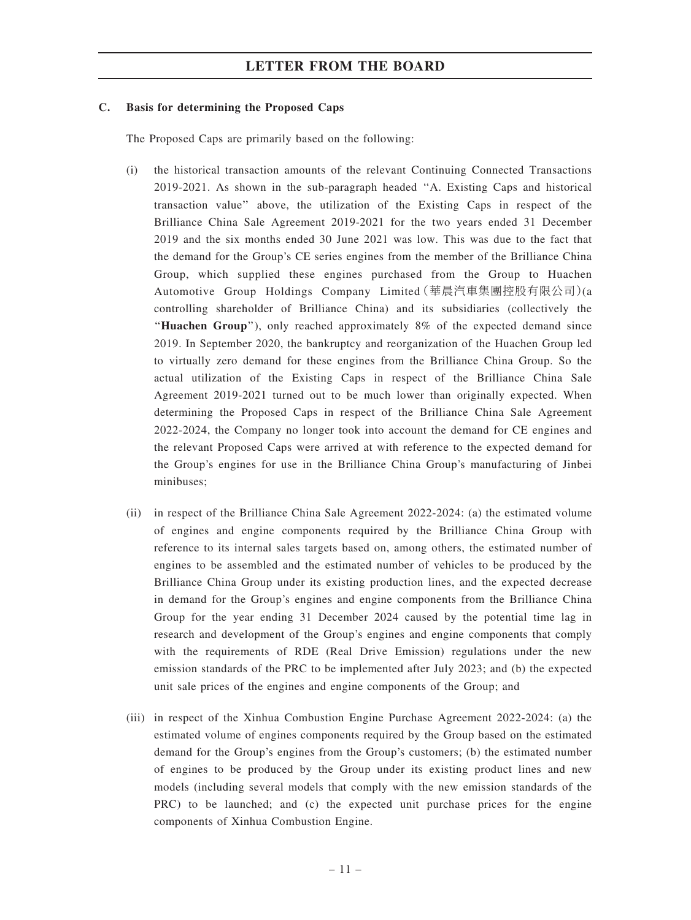### C. Basis for determining the Proposed Caps

The Proposed Caps are primarily based on the following:

- (i) the historical transaction amounts of the relevant Continuing Connected Transactions 2019-2021. As shown in the sub-paragraph headed ''A. Existing Caps and historical transaction value'' above, the utilization of the Existing Caps in respect of the Brilliance China Sale Agreement 2019-2021 for the two years ended 31 December 2019 and the six months ended 30 June 2021 was low. This was due to the fact that the demand for the Group's CE series engines from the member of the Brilliance China Group, which supplied these engines purchased from the Group to Huachen Automotive Group Holdings Company Limited(華晨汽車集團控股有限公司)(a controlling shareholder of Brilliance China) and its subsidiaries (collectively the ''Huachen Group''), only reached approximately 8% of the expected demand since 2019. In September 2020, the bankruptcy and reorganization of the Huachen Group led to virtually zero demand for these engines from the Brilliance China Group. So the actual utilization of the Existing Caps in respect of the Brilliance China Sale Agreement 2019-2021 turned out to be much lower than originally expected. When determining the Proposed Caps in respect of the Brilliance China Sale Agreement 2022-2024, the Company no longer took into account the demand for CE engines and the relevant Proposed Caps were arrived at with reference to the expected demand for the Group's engines for use in the Brilliance China Group's manufacturing of Jinbei minibuses;
- (ii) in respect of the Brilliance China Sale Agreement 2022-2024: (a) the estimated volume of engines and engine components required by the Brilliance China Group with reference to its internal sales targets based on, among others, the estimated number of engines to be assembled and the estimated number of vehicles to be produced by the Brilliance China Group under its existing production lines, and the expected decrease in demand for the Group's engines and engine components from the Brilliance China Group for the year ending 31 December 2024 caused by the potential time lag in research and development of the Group's engines and engine components that comply with the requirements of RDE (Real Drive Emission) regulations under the new emission standards of the PRC to be implemented after July 2023; and (b) the expected unit sale prices of the engines and engine components of the Group; and
- (iii) in respect of the Xinhua Combustion Engine Purchase Agreement 2022-2024: (a) the estimated volume of engines components required by the Group based on the estimated demand for the Group's engines from the Group's customers; (b) the estimated number of engines to be produced by the Group under its existing product lines and new models (including several models that comply with the new emission standards of the PRC) to be launched; and (c) the expected unit purchase prices for the engine components of Xinhua Combustion Engine.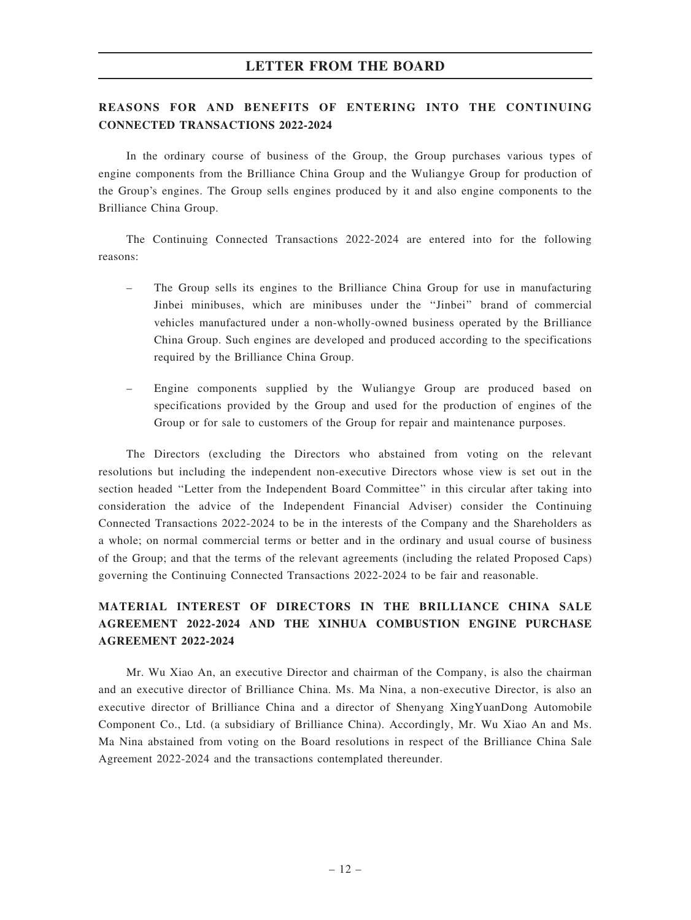# REASONS FOR AND BENEFITS OF ENTERING INTO THE CONTINUING CONNECTED TRANSACTIONS 2022-2024

In the ordinary course of business of the Group, the Group purchases various types of engine components from the Brilliance China Group and the Wuliangye Group for production of the Group's engines. The Group sells engines produced by it and also engine components to the Brilliance China Group.

The Continuing Connected Transactions 2022-2024 are entered into for the following reasons:

- The Group sells its engines to the Brilliance China Group for use in manufacturing Jinbei minibuses, which are minibuses under the ''Jinbei'' brand of commercial vehicles manufactured under a non-wholly-owned business operated by the Brilliance China Group. Such engines are developed and produced according to the specifications required by the Brilliance China Group.
- Engine components supplied by the Wuliangye Group are produced based on specifications provided by the Group and used for the production of engines of the Group or for sale to customers of the Group for repair and maintenance purposes.

The Directors (excluding the Directors who abstained from voting on the relevant resolutions but including the independent non-executive Directors whose view is set out in the section headed ''Letter from the Independent Board Committee'' in this circular after taking into consideration the advice of the Independent Financial Adviser) consider the Continuing Connected Transactions 2022-2024 to be in the interests of the Company and the Shareholders as a whole; on normal commercial terms or better and in the ordinary and usual course of business of the Group; and that the terms of the relevant agreements (including the related Proposed Caps) governing the Continuing Connected Transactions 2022-2024 to be fair and reasonable.

# MATERIAL INTEREST OF DIRECTORS IN THE BRILLIANCE CHINA SALE AGREEMENT 2022-2024 AND THE XINHUA COMBUSTION ENGINE PURCHASE AGREEMENT 2022-2024

Mr. Wu Xiao An, an executive Director and chairman of the Company, is also the chairman and an executive director of Brilliance China. Ms. Ma Nina, a non-executive Director, is also an executive director of Brilliance China and a director of Shenyang XingYuanDong Automobile Component Co., Ltd. (a subsidiary of Brilliance China). Accordingly, Mr. Wu Xiao An and Ms. Ma Nina abstained from voting on the Board resolutions in respect of the Brilliance China Sale Agreement 2022-2024 and the transactions contemplated thereunder.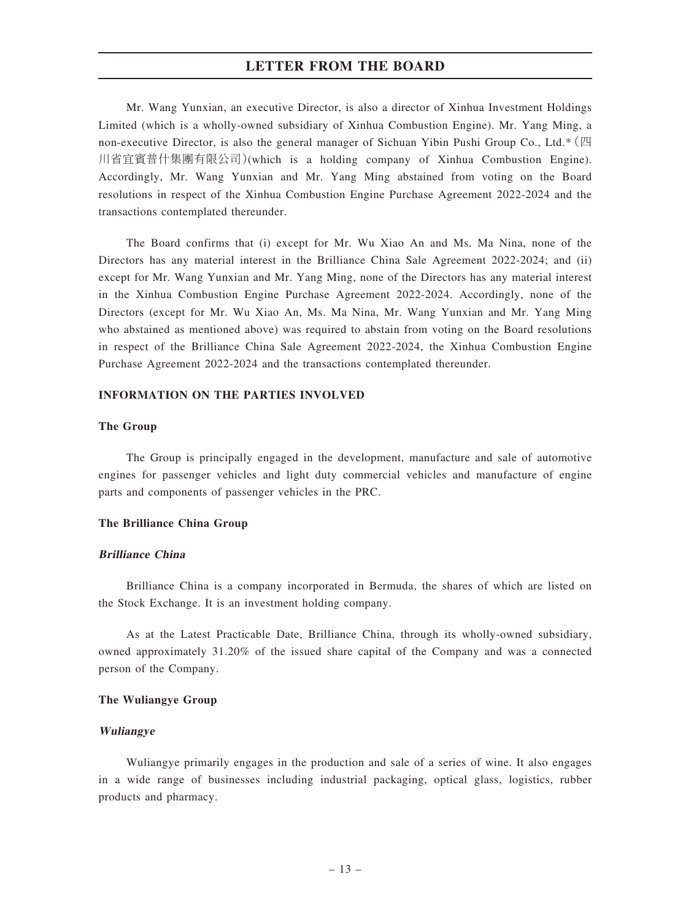Mr. Wang Yunxian, an executive Director, is also a director of Xinhua Investment Holdings Limited (which is a wholly-owned subsidiary of Xinhua Combustion Engine). Mr. Yang Ming, a non-executive Director, is also the general manager of Sichuan Yibin Pushi Group Co., Ltd.\*(四 川省宜賓普什集團有限公司)(which is a holding company of Xinhua Combustion Engine). Accordingly, Mr. Wang Yunxian and Mr. Yang Ming abstained from voting on the Board resolutions in respect of the Xinhua Combustion Engine Purchase Agreement 2022-2024 and the transactions contemplated thereunder.

The Board confirms that (i) except for Mr. Wu Xiao An and Ms. Ma Nina, none of the Directors has any material interest in the Brilliance China Sale Agreement 2022-2024; and (ii) except for Mr. Wang Yunxian and Mr. Yang Ming, none of the Directors has any material interest in the Xinhua Combustion Engine Purchase Agreement 2022-2024. Accordingly, none of the Directors (except for Mr. Wu Xiao An, Ms. Ma Nina, Mr. Wang Yunxian and Mr. Yang Ming who abstained as mentioned above) was required to abstain from voting on the Board resolutions in respect of the Brilliance China Sale Agreement 2022-2024, the Xinhua Combustion Engine Purchase Agreement 2022-2024 and the transactions contemplated thereunder.

### INFORMATION ON THE PARTIES INVOLVED

### The Group

The Group is principally engaged in the development, manufacture and sale of automotive engines for passenger vehicles and light duty commercial vehicles and manufacture of engine parts and components of passenger vehicles in the PRC.

### The Brilliance China Group

### Brilliance China

Brilliance China is a company incorporated in Bermuda, the shares of which are listed on the Stock Exchange. It is an investment holding company.

As at the Latest Practicable Date, Brilliance China, through its wholly-owned subsidiary, owned approximately 31.20% of the issued share capital of the Company and was a connected person of the Company.

### The Wuliangye Group

### Wuliangye

Wuliangye primarily engages in the production and sale of a series of wine. It also engages in a wide range of businesses including industrial packaging, optical glass, logistics, rubber products and pharmacy.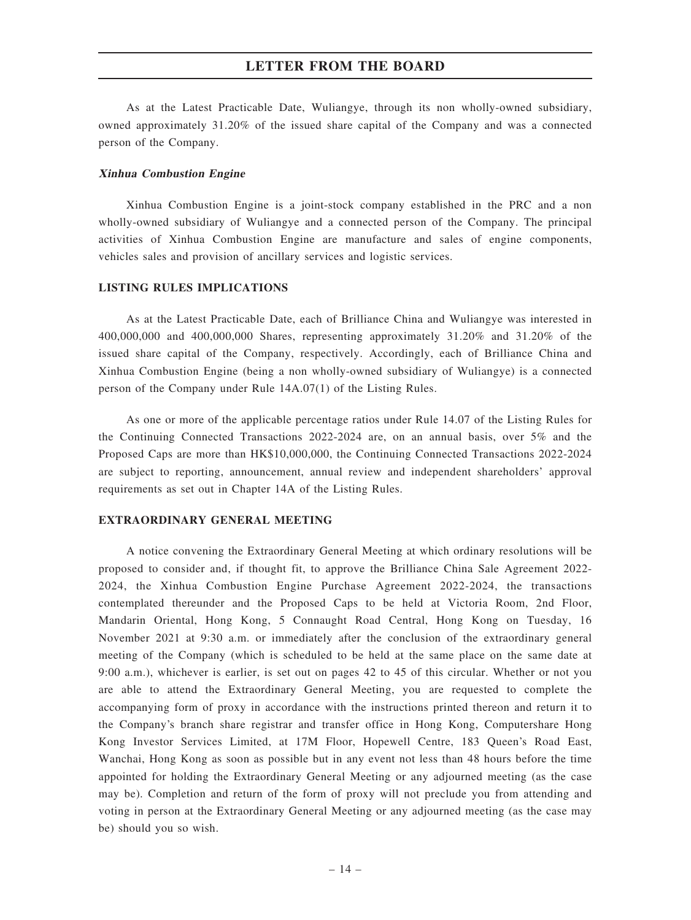As at the Latest Practicable Date, Wuliangye, through its non wholly-owned subsidiary, owned approximately 31.20% of the issued share capital of the Company and was a connected person of the Company.

### Xinhua Combustion Engine

Xinhua Combustion Engine is a joint-stock company established in the PRC and a non wholly-owned subsidiary of Wuliangye and a connected person of the Company. The principal activities of Xinhua Combustion Engine are manufacture and sales of engine components, vehicles sales and provision of ancillary services and logistic services.

### LISTING RULES IMPLICATIONS

As at the Latest Practicable Date, each of Brilliance China and Wuliangye was interested in 400,000,000 and 400,000,000 Shares, representing approximately 31.20% and 31.20% of the issued share capital of the Company, respectively. Accordingly, each of Brilliance China and Xinhua Combustion Engine (being a non wholly-owned subsidiary of Wuliangye) is a connected person of the Company under Rule 14A.07(1) of the Listing Rules.

As one or more of the applicable percentage ratios under Rule 14.07 of the Listing Rules for the Continuing Connected Transactions 2022-2024 are, on an annual basis, over 5% and the Proposed Caps are more than HK\$10,000,000, the Continuing Connected Transactions 2022-2024 are subject to reporting, announcement, annual review and independent shareholders' approval requirements as set out in Chapter 14A of the Listing Rules.

### EXTRAORDINARY GENERAL MEETING

A notice convening the Extraordinary General Meeting at which ordinary resolutions will be proposed to consider and, if thought fit, to approve the Brilliance China Sale Agreement 2022- 2024, the Xinhua Combustion Engine Purchase Agreement 2022-2024, the transactions contemplated thereunder and the Proposed Caps to be held at Victoria Room, 2nd Floor, Mandarin Oriental, Hong Kong, 5 Connaught Road Central, Hong Kong on Tuesday, 16 November 2021 at 9:30 a.m. or immediately after the conclusion of the extraordinary general meeting of the Company (which is scheduled to be held at the same place on the same date at 9:00 a.m.), whichever is earlier, is set out on pages 42 to 45 of this circular. Whether or not you are able to attend the Extraordinary General Meeting, you are requested to complete the accompanying form of proxy in accordance with the instructions printed thereon and return it to the Company's branch share registrar and transfer office in Hong Kong, Computershare Hong Kong Investor Services Limited, at 17M Floor, Hopewell Centre, 183 Queen's Road East, Wanchai, Hong Kong as soon as possible but in any event not less than 48 hours before the time appointed for holding the Extraordinary General Meeting or any adjourned meeting (as the case may be). Completion and return of the form of proxy will not preclude you from attending and voting in person at the Extraordinary General Meeting or any adjourned meeting (as the case may be) should you so wish.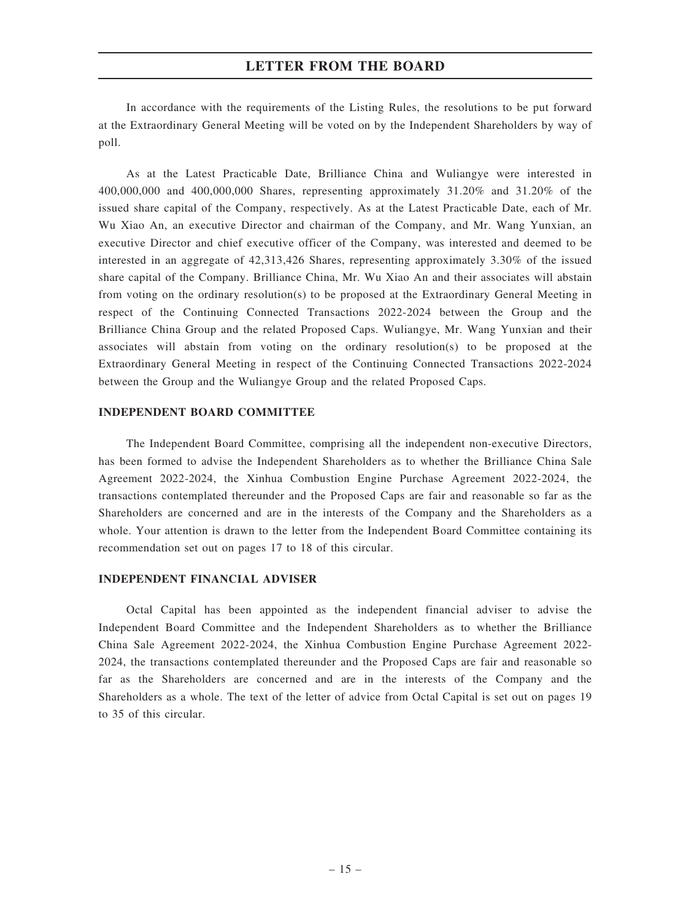In accordance with the requirements of the Listing Rules, the resolutions to be put forward at the Extraordinary General Meeting will be voted on by the Independent Shareholders by way of poll.

As at the Latest Practicable Date, Brilliance China and Wuliangye were interested in 400,000,000 and 400,000,000 Shares, representing approximately 31.20% and 31.20% of the issued share capital of the Company, respectively. As at the Latest Practicable Date, each of Mr. Wu Xiao An, an executive Director and chairman of the Company, and Mr. Wang Yunxian, an executive Director and chief executive officer of the Company, was interested and deemed to be interested in an aggregate of 42,313,426 Shares, representing approximately 3.30% of the issued share capital of the Company. Brilliance China, Mr. Wu Xiao An and their associates will abstain from voting on the ordinary resolution(s) to be proposed at the Extraordinary General Meeting in respect of the Continuing Connected Transactions 2022-2024 between the Group and the Brilliance China Group and the related Proposed Caps. Wuliangye, Mr. Wang Yunxian and their associates will abstain from voting on the ordinary resolution(s) to be proposed at the Extraordinary General Meeting in respect of the Continuing Connected Transactions 2022-2024 between the Group and the Wuliangye Group and the related Proposed Caps.

### INDEPENDENT BOARD COMMITTEE

The Independent Board Committee, comprising all the independent non-executive Directors, has been formed to advise the Independent Shareholders as to whether the Brilliance China Sale Agreement 2022-2024, the Xinhua Combustion Engine Purchase Agreement 2022-2024, the transactions contemplated thereunder and the Proposed Caps are fair and reasonable so far as the Shareholders are concerned and are in the interests of the Company and the Shareholders as a whole. Your attention is drawn to the letter from the Independent Board Committee containing its recommendation set out on pages 17 to 18 of this circular.

### INDEPENDENT FINANCIAL ADVISER

Octal Capital has been appointed as the independent financial adviser to advise the Independent Board Committee and the Independent Shareholders as to whether the Brilliance China Sale Agreement 2022-2024, the Xinhua Combustion Engine Purchase Agreement 2022- 2024, the transactions contemplated thereunder and the Proposed Caps are fair and reasonable so far as the Shareholders are concerned and are in the interests of the Company and the Shareholders as a whole. The text of the letter of advice from Octal Capital is set out on pages 19 to 35 of this circular.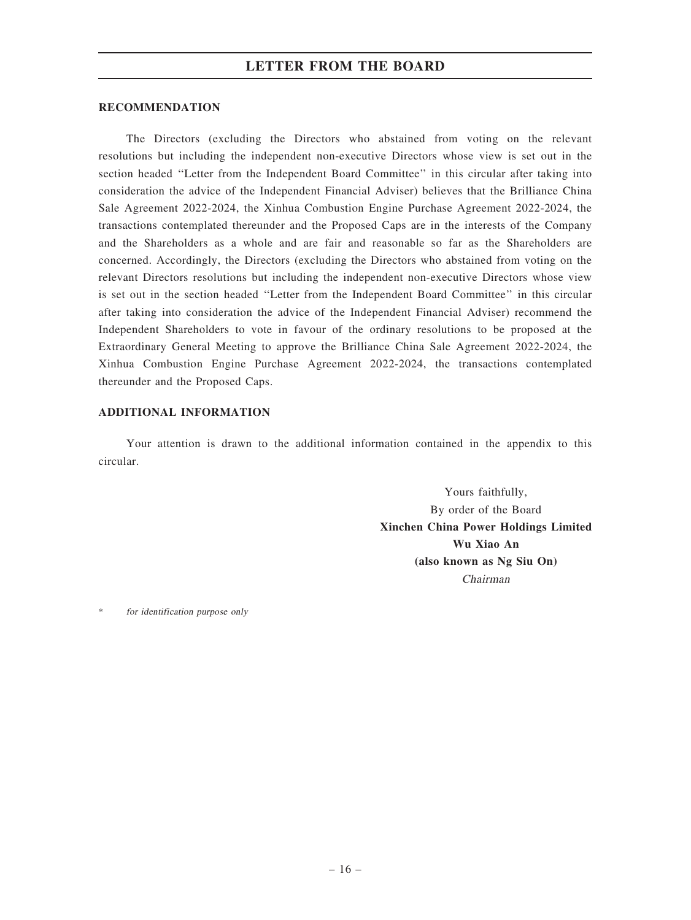### **RECOMMENDATION**

The Directors (excluding the Directors who abstained from voting on the relevant resolutions but including the independent non-executive Directors whose view is set out in the section headed ''Letter from the Independent Board Committee'' in this circular after taking into consideration the advice of the Independent Financial Adviser) believes that the Brilliance China Sale Agreement 2022-2024, the Xinhua Combustion Engine Purchase Agreement 2022-2024, the transactions contemplated thereunder and the Proposed Caps are in the interests of the Company and the Shareholders as a whole and are fair and reasonable so far as the Shareholders are concerned. Accordingly, the Directors (excluding the Directors who abstained from voting on the relevant Directors resolutions but including the independent non-executive Directors whose view is set out in the section headed ''Letter from the Independent Board Committee'' in this circular after taking into consideration the advice of the Independent Financial Adviser) recommend the Independent Shareholders to vote in favour of the ordinary resolutions to be proposed at the Extraordinary General Meeting to approve the Brilliance China Sale Agreement 2022-2024, the Xinhua Combustion Engine Purchase Agreement 2022-2024, the transactions contemplated thereunder and the Proposed Caps.

### ADDITIONAL INFORMATION

Your attention is drawn to the additional information contained in the appendix to this circular.

> Yours faithfully, By order of the Board Xinchen China Power Holdings Limited Wu Xiao An (also known as Ng Siu On) Chairman

for identification purpose only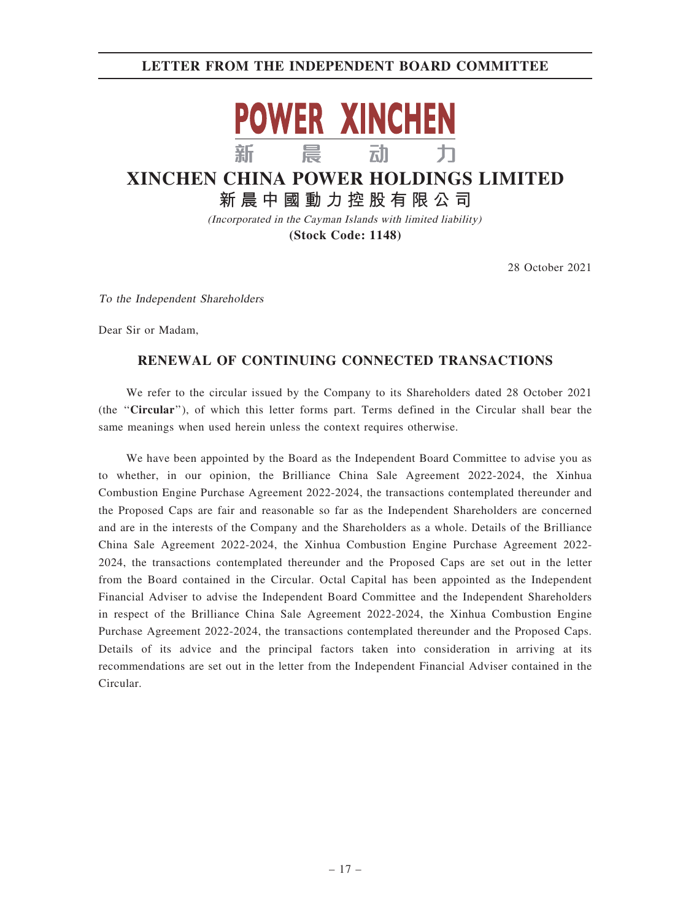# LETTER FROM THE INDEPENDENT BOARD COMMITTEE



# **XINCHEN CHINA POWER HOLDINGS LIMITED 新晨中國動力控股有限公司**

(Incorporated in the Cayman Islands with limited liability) **(Stock Code: 1148)**

28 October 2021

To the Independent Shareholders

Dear Sir or Madam,

# RENEWAL OF CONTINUING CONNECTED TRANSACTIONS

We refer to the circular issued by the Company to its Shareholders dated 28 October 2021 (the ''Circular''), of which this letter forms part. Terms defined in the Circular shall bear the same meanings when used herein unless the context requires otherwise.

We have been appointed by the Board as the Independent Board Committee to advise you as to whether, in our opinion, the Brilliance China Sale Agreement 2022-2024, the Xinhua Combustion Engine Purchase Agreement 2022-2024, the transactions contemplated thereunder and the Proposed Caps are fair and reasonable so far as the Independent Shareholders are concerned and are in the interests of the Company and the Shareholders as a whole. Details of the Brilliance China Sale Agreement 2022-2024, the Xinhua Combustion Engine Purchase Agreement 2022- 2024, the transactions contemplated thereunder and the Proposed Caps are set out in the letter from the Board contained in the Circular. Octal Capital has been appointed as the Independent Financial Adviser to advise the Independent Board Committee and the Independent Shareholders in respect of the Brilliance China Sale Agreement 2022-2024, the Xinhua Combustion Engine Purchase Agreement 2022-2024, the transactions contemplated thereunder and the Proposed Caps. Details of its advice and the principal factors taken into consideration in arriving at its recommendations are set out in the letter from the Independent Financial Adviser contained in the Circular.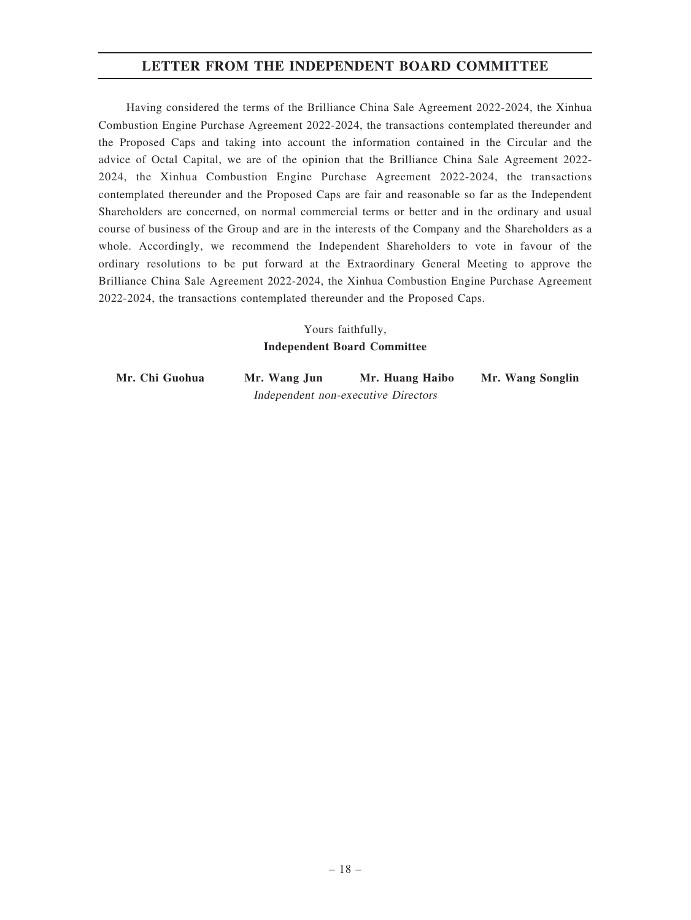# LETTER FROM THE INDEPENDENT BOARD COMMITTEE

Having considered the terms of the Brilliance China Sale Agreement 2022-2024, the Xinhua Combustion Engine Purchase Agreement 2022-2024, the transactions contemplated thereunder and the Proposed Caps and taking into account the information contained in the Circular and the advice of Octal Capital, we are of the opinion that the Brilliance China Sale Agreement 2022- 2024, the Xinhua Combustion Engine Purchase Agreement 2022-2024, the transactions contemplated thereunder and the Proposed Caps are fair and reasonable so far as the Independent Shareholders are concerned, on normal commercial terms or better and in the ordinary and usual course of business of the Group and are in the interests of the Company and the Shareholders as a whole. Accordingly, we recommend the Independent Shareholders to vote in favour of the ordinary resolutions to be put forward at the Extraordinary General Meeting to approve the Brilliance China Sale Agreement 2022-2024, the Xinhua Combustion Engine Purchase Agreement 2022-2024, the transactions contemplated thereunder and the Proposed Caps.

# Yours faithfully, Independent Board Committee

Mr. Chi Guohua Mr. Wang Jun Mr. Huang Haibo Mr. Wang Songlin Independent non-executive Directors

– 18 –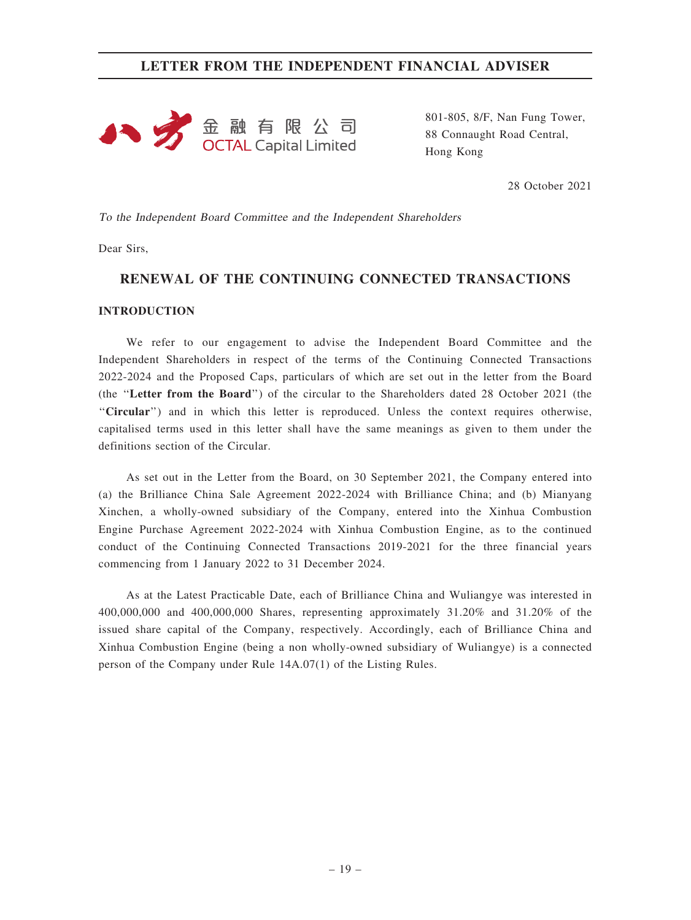

801-805, 8/F, Nan Fung Tower, 88 Connaught Road Central, Hong Kong

28 October 2021

To the Independent Board Committee and the Independent Shareholders

Dear Sirs,

# RENEWAL OF THE CONTINUING CONNECTED TRANSACTIONS

### **INTRODUCTION**

We refer to our engagement to advise the Independent Board Committee and the Independent Shareholders in respect of the terms of the Continuing Connected Transactions 2022-2024 and the Proposed Caps, particulars of which are set out in the letter from the Board (the ''Letter from the Board'') of the circular to the Shareholders dated 28 October 2021 (the ''Circular'') and in which this letter is reproduced. Unless the context requires otherwise, capitalised terms used in this letter shall have the same meanings as given to them under the definitions section of the Circular.

As set out in the Letter from the Board, on 30 September 2021, the Company entered into (a) the Brilliance China Sale Agreement 2022-2024 with Brilliance China; and (b) Mianyang Xinchen, a wholly-owned subsidiary of the Company, entered into the Xinhua Combustion Engine Purchase Agreement 2022-2024 with Xinhua Combustion Engine, as to the continued conduct of the Continuing Connected Transactions 2019-2021 for the three financial years commencing from 1 January 2022 to 31 December 2024.

As at the Latest Practicable Date, each of Brilliance China and Wuliangye was interested in 400,000,000 and 400,000,000 Shares, representing approximately 31.20% and 31.20% of the issued share capital of the Company, respectively. Accordingly, each of Brilliance China and Xinhua Combustion Engine (being a non wholly-owned subsidiary of Wuliangye) is a connected person of the Company under Rule 14A.07(1) of the Listing Rules.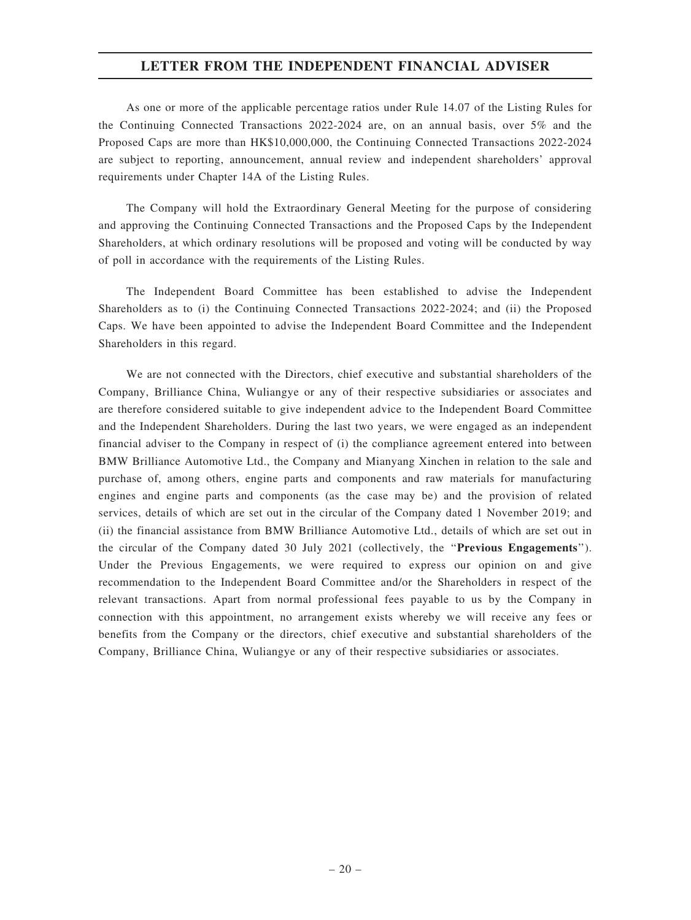As one or more of the applicable percentage ratios under Rule 14.07 of the Listing Rules for the Continuing Connected Transactions 2022-2024 are, on an annual basis, over 5% and the Proposed Caps are more than HK\$10,000,000, the Continuing Connected Transactions 2022-2024 are subject to reporting, announcement, annual review and independent shareholders' approval requirements under Chapter 14A of the Listing Rules.

The Company will hold the Extraordinary General Meeting for the purpose of considering and approving the Continuing Connected Transactions and the Proposed Caps by the Independent Shareholders, at which ordinary resolutions will be proposed and voting will be conducted by way of poll in accordance with the requirements of the Listing Rules.

The Independent Board Committee has been established to advise the Independent Shareholders as to (i) the Continuing Connected Transactions 2022-2024; and (ii) the Proposed Caps. We have been appointed to advise the Independent Board Committee and the Independent Shareholders in this regard.

We are not connected with the Directors, chief executive and substantial shareholders of the Company, Brilliance China, Wuliangye or any of their respective subsidiaries or associates and are therefore considered suitable to give independent advice to the Independent Board Committee and the Independent Shareholders. During the last two years, we were engaged as an independent financial adviser to the Company in respect of (i) the compliance agreement entered into between BMW Brilliance Automotive Ltd., the Company and Mianyang Xinchen in relation to the sale and purchase of, among others, engine parts and components and raw materials for manufacturing engines and engine parts and components (as the case may be) and the provision of related services, details of which are set out in the circular of the Company dated 1 November 2019; and (ii) the financial assistance from BMW Brilliance Automotive Ltd., details of which are set out in the circular of the Company dated 30 July 2021 (collectively, the ''Previous Engagements''). Under the Previous Engagements, we were required to express our opinion on and give recommendation to the Independent Board Committee and/or the Shareholders in respect of the relevant transactions. Apart from normal professional fees payable to us by the Company in connection with this appointment, no arrangement exists whereby we will receive any fees or benefits from the Company or the directors, chief executive and substantial shareholders of the Company, Brilliance China, Wuliangye or any of their respective subsidiaries or associates.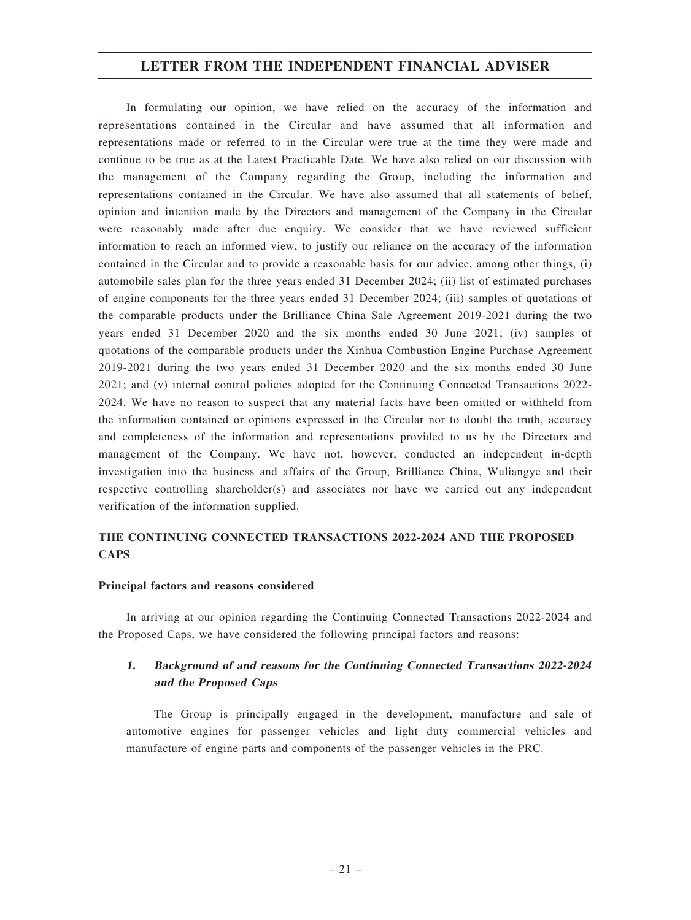In formulating our opinion, we have relied on the accuracy of the information and representations contained in the Circular and have assumed that all information and representations made or referred to in the Circular were true at the time they were made and continue to be true as at the Latest Practicable Date. We have also relied on our discussion with the management of the Company regarding the Group, including the information and representations contained in the Circular. We have also assumed that all statements of belief, opinion and intention made by the Directors and management of the Company in the Circular were reasonably made after due enquiry. We consider that we have reviewed sufficient information to reach an informed view, to justify our reliance on the accuracy of the information contained in the Circular and to provide a reasonable basis for our advice, among other things, (i) automobile sales plan for the three years ended 31 December 2024; (ii) list of estimated purchases of engine components for the three years ended 31 December 2024; (iii) samples of quotations of the comparable products under the Brilliance China Sale Agreement 2019-2021 during the two years ended 31 December 2020 and the six months ended 30 June 2021; (iv) samples of quotations of the comparable products under the Xinhua Combustion Engine Purchase Agreement 2019-2021 during the two years ended 31 December 2020 and the six months ended 30 June 2021; and (v) internal control policies adopted for the Continuing Connected Transactions 2022- 2024. We have no reason to suspect that any material facts have been omitted or withheld from the information contained or opinions expressed in the Circular nor to doubt the truth, accuracy and completeness of the information and representations provided to us by the Directors and management of the Company. We have not, however, conducted an independent in-depth investigation into the business and affairs of the Group, Brilliance China, Wuliangye and their respective controlling shareholder(s) and associates nor have we carried out any independent verification of the information supplied.

# THE CONTINUING CONNECTED TRANSACTIONS 2022-2024 AND THE PROPOSED **CAPS**

### Principal factors and reasons considered

In arriving at our opinion regarding the Continuing Connected Transactions 2022-2024 and the Proposed Caps, we have considered the following principal factors and reasons:

# 1. Background of and reasons for the Continuing Connected Transactions 2022-2024 and the Proposed Caps

The Group is principally engaged in the development, manufacture and sale of automotive engines for passenger vehicles and light duty commercial vehicles and manufacture of engine parts and components of the passenger vehicles in the PRC.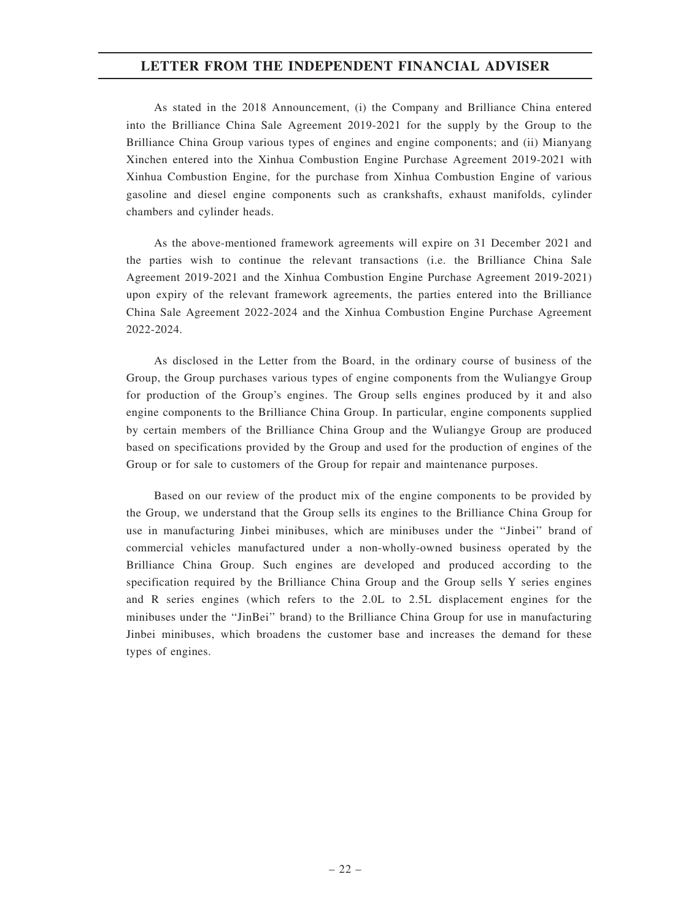As stated in the 2018 Announcement, (i) the Company and Brilliance China entered into the Brilliance China Sale Agreement 2019-2021 for the supply by the Group to the Brilliance China Group various types of engines and engine components; and (ii) Mianyang Xinchen entered into the Xinhua Combustion Engine Purchase Agreement 2019-2021 with Xinhua Combustion Engine, for the purchase from Xinhua Combustion Engine of various gasoline and diesel engine components such as crankshafts, exhaust manifolds, cylinder chambers and cylinder heads.

As the above-mentioned framework agreements will expire on 31 December 2021 and the parties wish to continue the relevant transactions (i.e. the Brilliance China Sale Agreement 2019-2021 and the Xinhua Combustion Engine Purchase Agreement 2019-2021) upon expiry of the relevant framework agreements, the parties entered into the Brilliance China Sale Agreement 2022-2024 and the Xinhua Combustion Engine Purchase Agreement 2022-2024.

As disclosed in the Letter from the Board, in the ordinary course of business of the Group, the Group purchases various types of engine components from the Wuliangye Group for production of the Group's engines. The Group sells engines produced by it and also engine components to the Brilliance China Group. In particular, engine components supplied by certain members of the Brilliance China Group and the Wuliangye Group are produced based on specifications provided by the Group and used for the production of engines of the Group or for sale to customers of the Group for repair and maintenance purposes.

Based on our review of the product mix of the engine components to be provided by the Group, we understand that the Group sells its engines to the Brilliance China Group for use in manufacturing Jinbei minibuses, which are minibuses under the ''Jinbei'' brand of commercial vehicles manufactured under a non-wholly-owned business operated by the Brilliance China Group. Such engines are developed and produced according to the specification required by the Brilliance China Group and the Group sells Y series engines and R series engines (which refers to the 2.0L to 2.5L displacement engines for the minibuses under the "JinBei" brand) to the Brilliance China Group for use in manufacturing Jinbei minibuses, which broadens the customer base and increases the demand for these types of engines.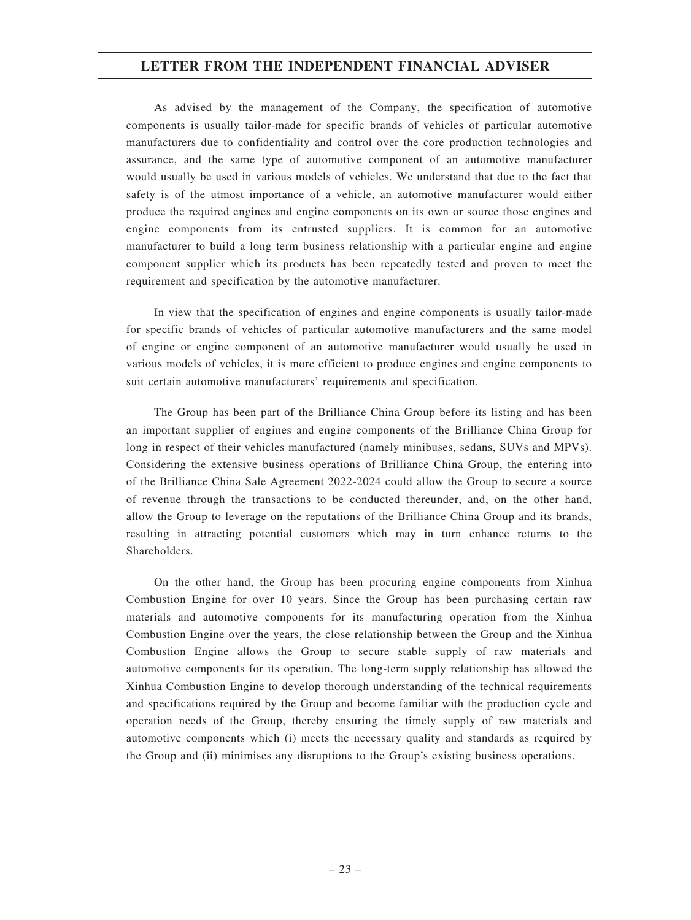As advised by the management of the Company, the specification of automotive components is usually tailor-made for specific brands of vehicles of particular automotive manufacturers due to confidentiality and control over the core production technologies and assurance, and the same type of automotive component of an automotive manufacturer would usually be used in various models of vehicles. We understand that due to the fact that safety is of the utmost importance of a vehicle, an automotive manufacturer would either produce the required engines and engine components on its own or source those engines and engine components from its entrusted suppliers. It is common for an automotive manufacturer to build a long term business relationship with a particular engine and engine component supplier which its products has been repeatedly tested and proven to meet the requirement and specification by the automotive manufacturer.

In view that the specification of engines and engine components is usually tailor-made for specific brands of vehicles of particular automotive manufacturers and the same model of engine or engine component of an automotive manufacturer would usually be used in various models of vehicles, it is more efficient to produce engines and engine components to suit certain automotive manufacturers' requirements and specification.

The Group has been part of the Brilliance China Group before its listing and has been an important supplier of engines and engine components of the Brilliance China Group for long in respect of their vehicles manufactured (namely minibuses, sedans, SUVs and MPVs). Considering the extensive business operations of Brilliance China Group, the entering into of the Brilliance China Sale Agreement 2022-2024 could allow the Group to secure a source of revenue through the transactions to be conducted thereunder, and, on the other hand, allow the Group to leverage on the reputations of the Brilliance China Group and its brands, resulting in attracting potential customers which may in turn enhance returns to the Shareholders.

On the other hand, the Group has been procuring engine components from Xinhua Combustion Engine for over 10 years. Since the Group has been purchasing certain raw materials and automotive components for its manufacturing operation from the Xinhua Combustion Engine over the years, the close relationship between the Group and the Xinhua Combustion Engine allows the Group to secure stable supply of raw materials and automotive components for its operation. The long-term supply relationship has allowed the Xinhua Combustion Engine to develop thorough understanding of the technical requirements and specifications required by the Group and become familiar with the production cycle and operation needs of the Group, thereby ensuring the timely supply of raw materials and automotive components which (i) meets the necessary quality and standards as required by the Group and (ii) minimises any disruptions to the Group's existing business operations.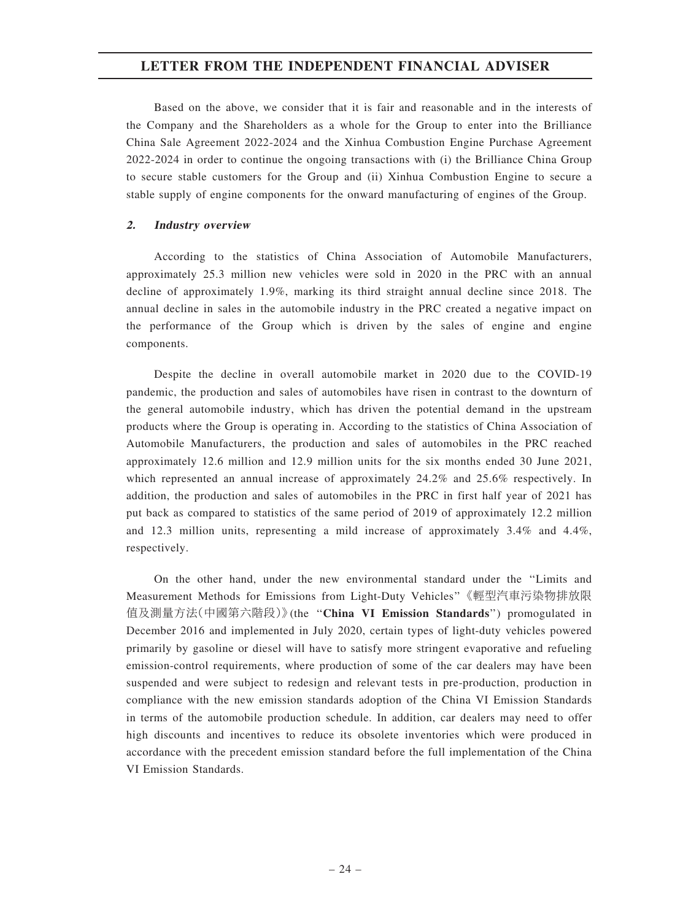Based on the above, we consider that it is fair and reasonable and in the interests of the Company and the Shareholders as a whole for the Group to enter into the Brilliance China Sale Agreement 2022-2024 and the Xinhua Combustion Engine Purchase Agreement 2022-2024 in order to continue the ongoing transactions with (i) the Brilliance China Group to secure stable customers for the Group and (ii) Xinhua Combustion Engine to secure a stable supply of engine components for the onward manufacturing of engines of the Group.

### 2. Industry overview

According to the statistics of China Association of Automobile Manufacturers, approximately 25.3 million new vehicles were sold in 2020 in the PRC with an annual decline of approximately 1.9%, marking its third straight annual decline since 2018. The annual decline in sales in the automobile industry in the PRC created a negative impact on the performance of the Group which is driven by the sales of engine and engine components.

Despite the decline in overall automobile market in 2020 due to the COVID-19 pandemic, the production and sales of automobiles have risen in contrast to the downturn of the general automobile industry, which has driven the potential demand in the upstream products where the Group is operating in. According to the statistics of China Association of Automobile Manufacturers, the production and sales of automobiles in the PRC reached approximately 12.6 million and 12.9 million units for the six months ended 30 June 2021, which represented an annual increase of approximately 24.2% and 25.6% respectively. In addition, the production and sales of automobiles in the PRC in first half year of 2021 has put back as compared to statistics of the same period of 2019 of approximately 12.2 million and 12.3 million units, representing a mild increase of approximately 3.4% and 4.4%, respectively.

On the other hand, under the new environmental standard under the ''Limits and Measurement Methods for Emissions from Light-Duty Vehicles''《輕型汽車污染物排放限 值及測量方法(中國第六階段)》(the ''China VI Emission Standards'') promogulated in December 2016 and implemented in July 2020, certain types of light-duty vehicles powered primarily by gasoline or diesel will have to satisfy more stringent evaporative and refueling emission-control requirements, where production of some of the car dealers may have been suspended and were subject to redesign and relevant tests in pre-production, production in compliance with the new emission standards adoption of the China VI Emission Standards in terms of the automobile production schedule. In addition, car dealers may need to offer high discounts and incentives to reduce its obsolete inventories which were produced in accordance with the precedent emission standard before the full implementation of the China VI Emission Standards.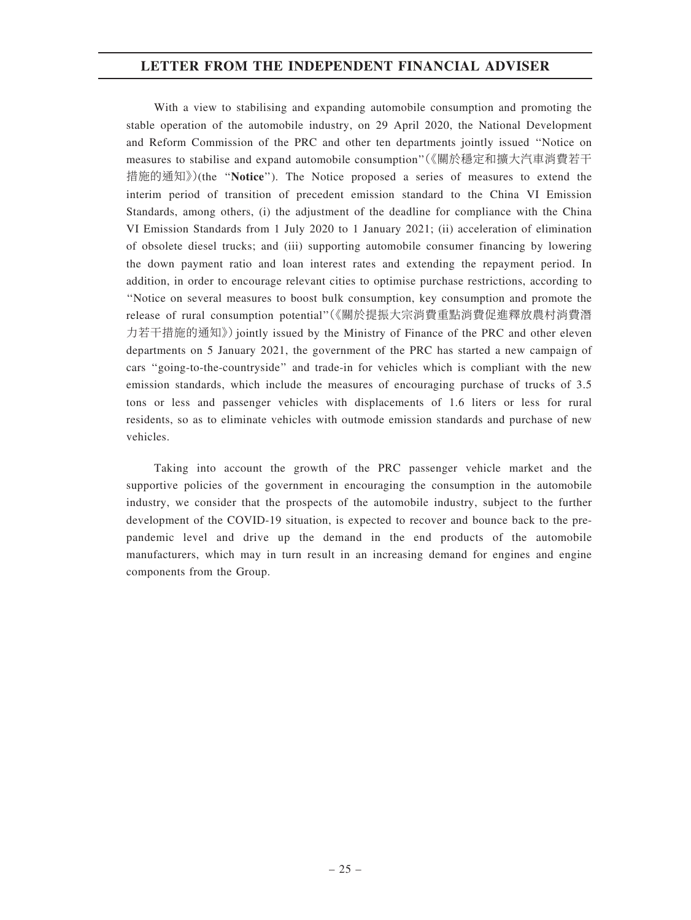With a view to stabilising and expanding automobile consumption and promoting the stable operation of the automobile industry, on 29 April 2020, the National Development and Reform Commission of the PRC and other ten departments jointly issued ''Notice on measures to stabilise and expand automobile consumption''(《關於穩定和擴大汽車消費若干 措施的通知》)(the ''Notice''). The Notice proposed a series of measures to extend the interim period of transition of precedent emission standard to the China VI Emission Standards, among others, (i) the adjustment of the deadline for compliance with the China VI Emission Standards from 1 July 2020 to 1 January 2021; (ii) acceleration of elimination of obsolete diesel trucks; and (iii) supporting automobile consumer financing by lowering the down payment ratio and loan interest rates and extending the repayment period. In addition, in order to encourage relevant cities to optimise purchase restrictions, according to ''Notice on several measures to boost bulk consumption, key consumption and promote the release of rural consumption potential''(《關於提振大宗消費重點消費促進釋放農村消費潛 力若干措施的通知》)jointly issued by the Ministry of Finance of the PRC and other eleven departments on 5 January 2021, the government of the PRC has started a new campaign of cars ''going-to-the-countryside'' and trade-in for vehicles which is compliant with the new emission standards, which include the measures of encouraging purchase of trucks of 3.5 tons or less and passenger vehicles with displacements of 1.6 liters or less for rural residents, so as to eliminate vehicles with outmode emission standards and purchase of new vehicles.

Taking into account the growth of the PRC passenger vehicle market and the supportive policies of the government in encouraging the consumption in the automobile industry, we consider that the prospects of the automobile industry, subject to the further development of the COVID-19 situation, is expected to recover and bounce back to the prepandemic level and drive up the demand in the end products of the automobile manufacturers, which may in turn result in an increasing demand for engines and engine components from the Group.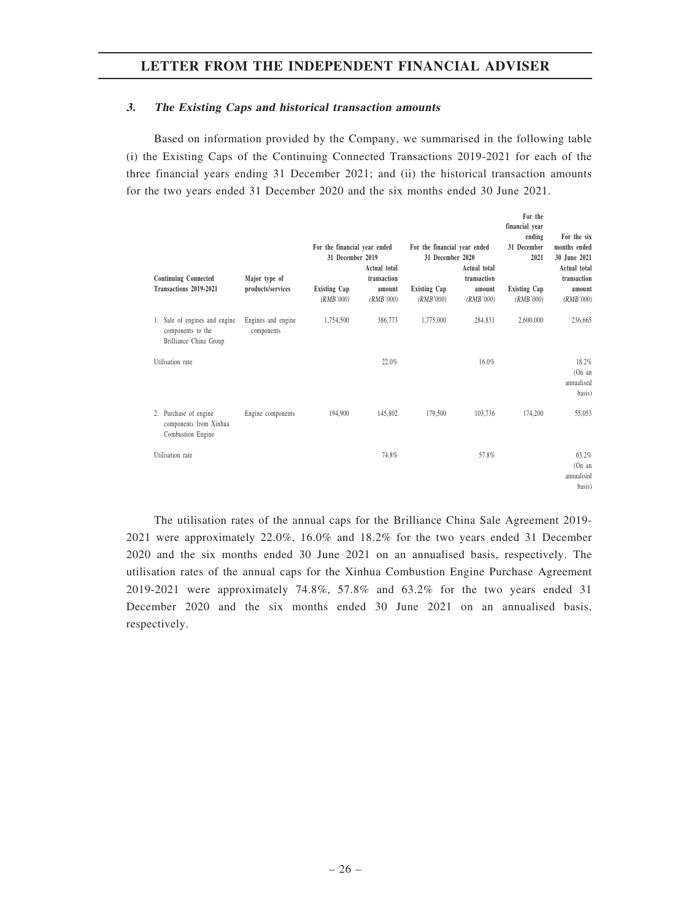### 3. The Existing Caps and historical transaction amounts

Based on information provided by the Company, we summarised in the following table (i) the Existing Caps of the Continuing Connected Transactions 2019-2021 for each of the three financial years ending 31 December 2021; and (ii) the historical transaction amounts for the two years ended 31 December 2020 and the six months ended 30 June 2021.

For the

| <b>Continuing Connected</b><br>Transactions 2019-2021                        | Major type of<br>products/services | For the financial year ended<br>31 December 2019<br><b>Existing Cap</b><br>(RMB'000) | Actual total<br>transaction<br>amount<br>(RMB'000) | For the financial year ended<br>31 December 2020<br><b>Existing Cap</b><br>(RMB'000) | Actual total<br>transaction<br>amount<br>(RMB'000) | financial year<br>ending<br>31 December<br>2021<br><b>Existing Cap</b><br>(RMB'000) | For the six<br>months ended<br>30 June 2021<br>Actual total<br>transaction<br>amount<br>(RMB'000) |
|------------------------------------------------------------------------------|------------------------------------|--------------------------------------------------------------------------------------|----------------------------------------------------|--------------------------------------------------------------------------------------|----------------------------------------------------|-------------------------------------------------------------------------------------|---------------------------------------------------------------------------------------------------|
| 1. Sale of engines and engine<br>components to the<br>Brilliance China Group | Engines and engine<br>components   | 1,754,500                                                                            | 386,773                                            | 1,775,000                                                                            | 284,831                                            | 2,600,000                                                                           | 236,665                                                                                           |
| Utilisation rate                                                             |                                    |                                                                                      | 22.0%                                              |                                                                                      | 16.0%                                              |                                                                                     | 18.2%<br>(On an<br>annualised<br>basis)                                                           |
| 2. Purchase of engine<br>components from Xinhua<br>Combustion Engine         | Engine components                  | 194,900                                                                              | 145,802                                            | 179,500                                                                              | 103,736                                            | 174,200                                                                             | 55,053                                                                                            |
| Utilisation rate                                                             |                                    |                                                                                      | 74.8%                                              |                                                                                      | 57.8%                                              |                                                                                     | 63.2%<br>(On an<br>annualised<br>basis)                                                           |

The utilisation rates of the annual caps for the Brilliance China Sale Agreement 2019- 2021 were approximately 22.0%, 16.0% and 18.2% for the two years ended 31 December 2020 and the six months ended 30 June 2021 on an annualised basis, respectively. The utilisation rates of the annual caps for the Xinhua Combustion Engine Purchase Agreement 2019-2021 were approximately 74.8%, 57.8% and 63.2% for the two years ended 31 December 2020 and the six months ended 30 June 2021 on an annualised basis, respectively.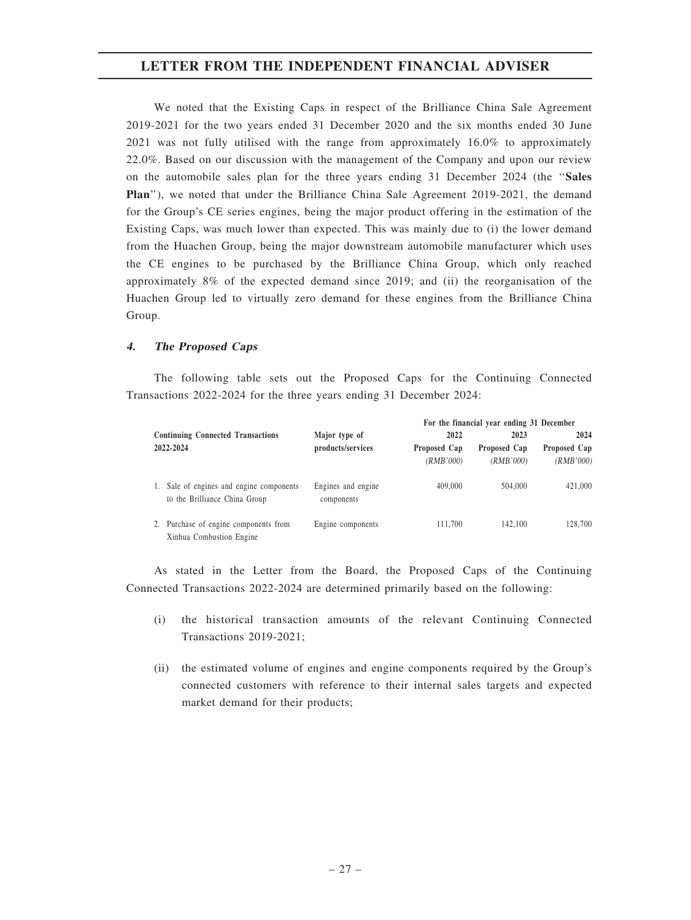We noted that the Existing Caps in respect of the Brilliance China Sale Agreement 2019-2021 for the two years ended 31 December 2020 and the six months ended 30 June 2021 was not fully utilised with the range from approximately 16.0% to approximately 22.0%. Based on our discussion with the management of the Company and upon our review on the automobile sales plan for the three years ending 31 December 2024 (the ''Sales Plan''), we noted that under the Brilliance China Sale Agreement 2019-2021, the demand for the Group's CE series engines, being the major product offering in the estimation of the Existing Caps, was much lower than expected. This was mainly due to (i) the lower demand from the Huachen Group, being the major downstream automobile manufacturer which uses the CE engines to be purchased by the Brilliance China Group, which only reached approximately 8% of the expected demand since 2019; and (ii) the reorganisation of the Huachen Group led to virtually zero demand for these engines from the Brilliance China Group.

### 4. The Proposed Caps

The following table sets out the Proposed Caps for the Continuing Connected Transactions 2022-2024 for the three years ending 31 December 2024:

|           |                                                                        |                                                |         | For the financial year ending 31 December |                           |
|-----------|------------------------------------------------------------------------|------------------------------------------------|---------|-------------------------------------------|---------------------------|
|           | <b>Continuing Connected Transactions</b>                               | Major type of                                  | 2022    | 2023                                      | 2024                      |
| 2022-2024 |                                                                        | products/services<br>Proposed Cap<br>(RMB'000) |         | Proposed Cap<br>(RMB'000)                 | Proposed Cap<br>(RMB'000) |
| 1.        | Sale of engines and engine components<br>to the Brilliance China Group | Engines and engine<br>components               | 409,000 | 504,000                                   | 421,000                   |
| 2.        | Purchase of engine components from<br>Xinhua Combustion Engine         | Engine components                              | 111.700 | 142,100                                   | 128,700                   |

As stated in the Letter from the Board, the Proposed Caps of the Continuing Connected Transactions 2022-2024 are determined primarily based on the following:

- (i) the historical transaction amounts of the relevant Continuing Connected Transactions 2019-2021;
- (ii) the estimated volume of engines and engine components required by the Group's connected customers with reference to their internal sales targets and expected market demand for their products;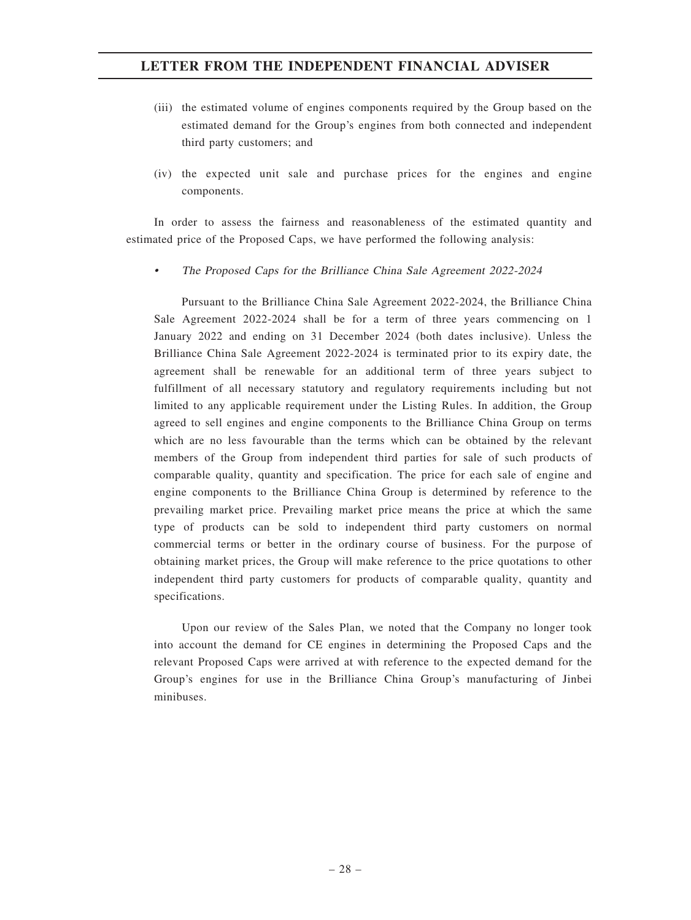- (iii) the estimated volume of engines components required by the Group based on the estimated demand for the Group's engines from both connected and independent third party customers; and
- (iv) the expected unit sale and purchase prices for the engines and engine components.

In order to assess the fairness and reasonableness of the estimated quantity and estimated price of the Proposed Caps, we have performed the following analysis:

•The Proposed Caps for the Brilliance China Sale Agreement 2022-2024

Pursuant to the Brilliance China Sale Agreement 2022-2024, the Brilliance China Sale Agreement 2022-2024 shall be for a term of three years commencing on 1 January 2022 and ending on 31 December 2024 (both dates inclusive). Unless the Brilliance China Sale Agreement 2022-2024 is terminated prior to its expiry date, the agreement shall be renewable for an additional term of three years subject to fulfillment of all necessary statutory and regulatory requirements including but not limited to any applicable requirement under the Listing Rules. In addition, the Group agreed to sell engines and engine components to the Brilliance China Group on terms which are no less favourable than the terms which can be obtained by the relevant members of the Group from independent third parties for sale of such products of comparable quality, quantity and specification. The price for each sale of engine and engine components to the Brilliance China Group is determined by reference to the prevailing market price. Prevailing market price means the price at which the same type of products can be sold to independent third party customers on normal commercial terms or better in the ordinary course of business. For the purpose of obtaining market prices, the Group will make reference to the price quotations to other independent third party customers for products of comparable quality, quantity and specifications.

Upon our review of the Sales Plan, we noted that the Company no longer took into account the demand for CE engines in determining the Proposed Caps and the relevant Proposed Caps were arrived at with reference to the expected demand for the Group's engines for use in the Brilliance China Group's manufacturing of Jinbei minibuses.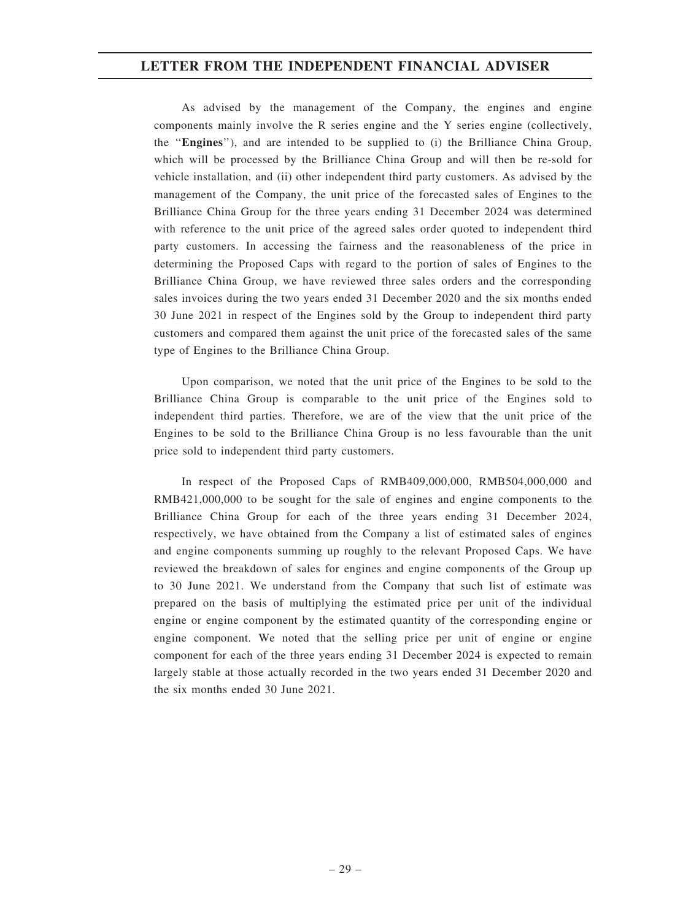As advised by the management of the Company, the engines and engine components mainly involve the R series engine and the Y series engine (collectively, the ''Engines''), and are intended to be supplied to (i) the Brilliance China Group, which will be processed by the Brilliance China Group and will then be re-sold for vehicle installation, and (ii) other independent third party customers. As advised by the management of the Company, the unit price of the forecasted sales of Engines to the Brilliance China Group for the three years ending 31 December 2024 was determined with reference to the unit price of the agreed sales order quoted to independent third party customers. In accessing the fairness and the reasonableness of the price in determining the Proposed Caps with regard to the portion of sales of Engines to the Brilliance China Group, we have reviewed three sales orders and the corresponding sales invoices during the two years ended 31 December 2020 and the six months ended 30 June 2021 in respect of the Engines sold by the Group to independent third party customers and compared them against the unit price of the forecasted sales of the same type of Engines to the Brilliance China Group.

Upon comparison, we noted that the unit price of the Engines to be sold to the Brilliance China Group is comparable to the unit price of the Engines sold to independent third parties. Therefore, we are of the view that the unit price of the Engines to be sold to the Brilliance China Group is no less favourable than the unit price sold to independent third party customers.

In respect of the Proposed Caps of RMB409,000,000, RMB504,000,000 and RMB421,000,000 to be sought for the sale of engines and engine components to the Brilliance China Group for each of the three years ending 31 December 2024, respectively, we have obtained from the Company a list of estimated sales of engines and engine components summing up roughly to the relevant Proposed Caps. We have reviewed the breakdown of sales for engines and engine components of the Group up to 30 June 2021. We understand from the Company that such list of estimate was prepared on the basis of multiplying the estimated price per unit of the individual engine or engine component by the estimated quantity of the corresponding engine or engine component. We noted that the selling price per unit of engine or engine component for each of the three years ending 31 December 2024 is expected to remain largely stable at those actually recorded in the two years ended 31 December 2020 and the six months ended 30 June 2021.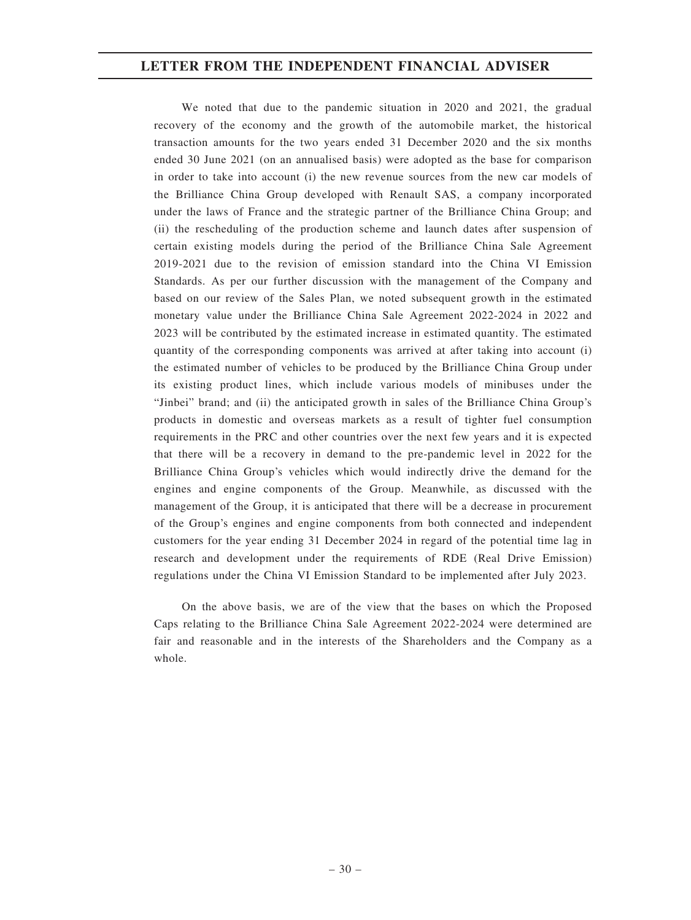We noted that due to the pandemic situation in 2020 and 2021, the gradual recovery of the economy and the growth of the automobile market, the historical transaction amounts for the two years ended 31 December 2020 and the six months ended 30 June 2021 (on an annualised basis) were adopted as the base for comparison in order to take into account (i) the new revenue sources from the new car models of the Brilliance China Group developed with Renault SAS, a company incorporated under the laws of France and the strategic partner of the Brilliance China Group; and (ii) the rescheduling of the production scheme and launch dates after suspension of certain existing models during the period of the Brilliance China Sale Agreement 2019-2021 due to the revision of emission standard into the China VI Emission Standards. As per our further discussion with the management of the Company and based on our review of the Sales Plan, we noted subsequent growth in the estimated monetary value under the Brilliance China Sale Agreement 2022-2024 in 2022 and 2023 will be contributed by the estimated increase in estimated quantity. The estimated quantity of the corresponding components was arrived at after taking into account (i) the estimated number of vehicles to be produced by the Brilliance China Group under its existing product lines, which include various models of minibuses under the "Jinbei" brand; and (ii) the anticipated growth in sales of the Brilliance China Group's products in domestic and overseas markets as a result of tighter fuel consumption requirements in the PRC and other countries over the next few years and it is expected that there will be a recovery in demand to the pre-pandemic level in 2022 for the Brilliance China Group's vehicles which would indirectly drive the demand for the engines and engine components of the Group. Meanwhile, as discussed with the management of the Group, it is anticipated that there will be a decrease in procurement of the Group's engines and engine components from both connected and independent customers for the year ending 31 December 2024 in regard of the potential time lag in research and development under the requirements of RDE (Real Drive Emission) regulations under the China VI Emission Standard to be implemented after July 2023.

On the above basis, we are of the view that the bases on which the Proposed Caps relating to the Brilliance China Sale Agreement 2022-2024 were determined are fair and reasonable and in the interests of the Shareholders and the Company as a whole.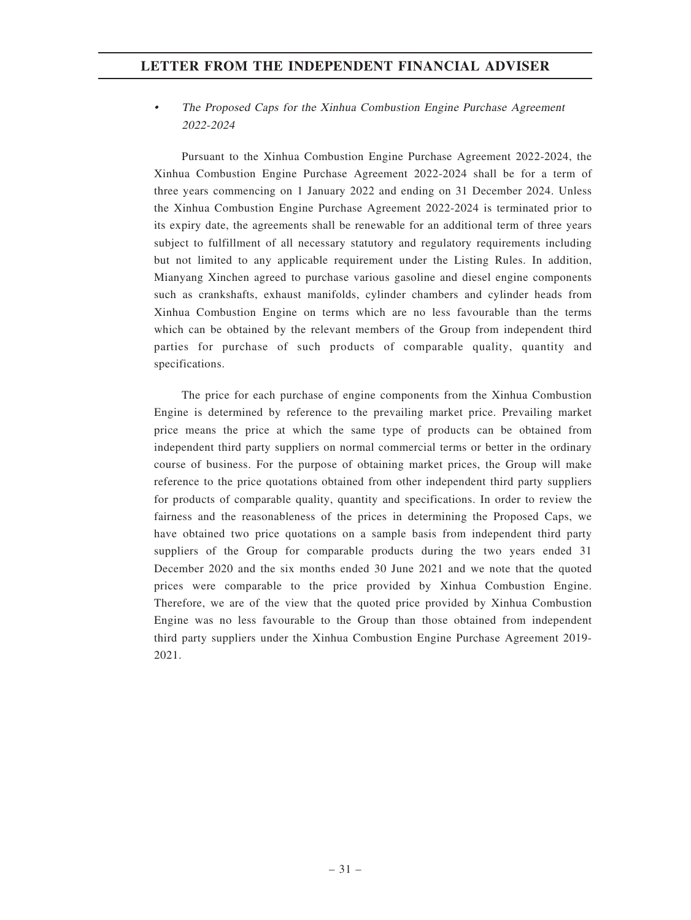#### • The Proposed Caps for the Xinhua Combustion Engine Purchase Agreement 2022-2024

Pursuant to the Xinhua Combustion Engine Purchase Agreement 2022-2024, the Xinhua Combustion Engine Purchase Agreement 2022-2024 shall be for a term of three years commencing on 1 January 2022 and ending on 31 December 2024. Unless the Xinhua Combustion Engine Purchase Agreement 2022-2024 is terminated prior to its expiry date, the agreements shall be renewable for an additional term of three years subject to fulfillment of all necessary statutory and regulatory requirements including but not limited to any applicable requirement under the Listing Rules. In addition, Mianyang Xinchen agreed to purchase various gasoline and diesel engine components such as crankshafts, exhaust manifolds, cylinder chambers and cylinder heads from Xinhua Combustion Engine on terms which are no less favourable than the terms which can be obtained by the relevant members of the Group from independent third parties for purchase of such products of comparable quality, quantity and specifications.

The price for each purchase of engine components from the Xinhua Combustion Engine is determined by reference to the prevailing market price. Prevailing market price means the price at which the same type of products can be obtained from independent third party suppliers on normal commercial terms or better in the ordinary course of business. For the purpose of obtaining market prices, the Group will make reference to the price quotations obtained from other independent third party suppliers for products of comparable quality, quantity and specifications. In order to review the fairness and the reasonableness of the prices in determining the Proposed Caps, we have obtained two price quotations on a sample basis from independent third party suppliers of the Group for comparable products during the two years ended 31 December 2020 and the six months ended 30 June 2021 and we note that the quoted prices were comparable to the price provided by Xinhua Combustion Engine. Therefore, we are of the view that the quoted price provided by Xinhua Combustion Engine was no less favourable to the Group than those obtained from independent third party suppliers under the Xinhua Combustion Engine Purchase Agreement 2019- 2021.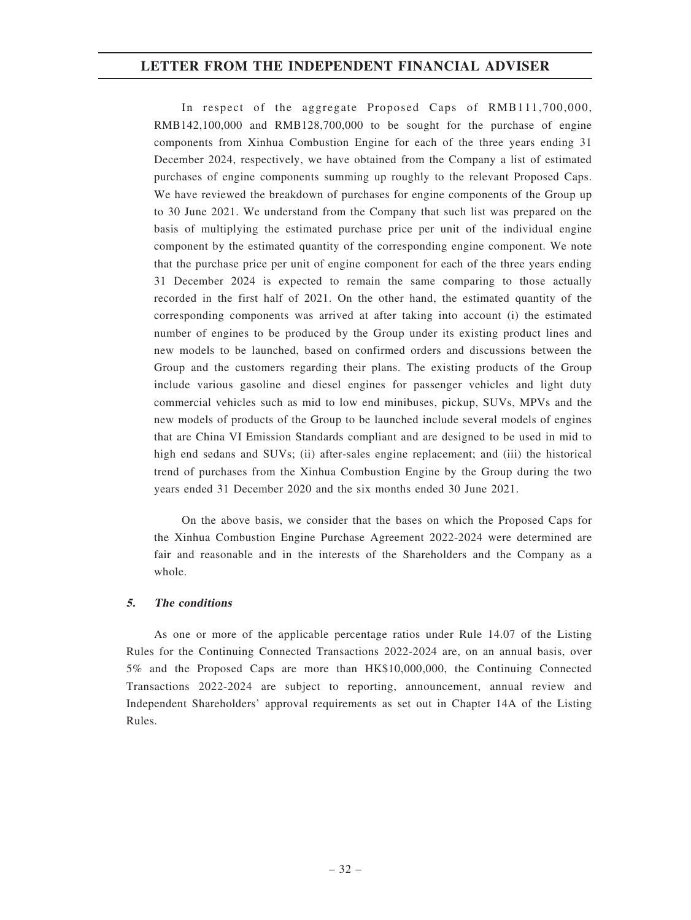In respect of the aggregate Proposed Caps of RMB111,700,000, RMB142,100,000 and RMB128,700,000 to be sought for the purchase of engine components from Xinhua Combustion Engine for each of the three years ending 31 December 2024, respectively, we have obtained from the Company a list of estimated purchases of engine components summing up roughly to the relevant Proposed Caps. We have reviewed the breakdown of purchases for engine components of the Group up to 30 June 2021. We understand from the Company that such list was prepared on the basis of multiplying the estimated purchase price per unit of the individual engine component by the estimated quantity of the corresponding engine component. We note that the purchase price per unit of engine component for each of the three years ending 31 December 2024 is expected to remain the same comparing to those actually recorded in the first half of 2021. On the other hand, the estimated quantity of the corresponding components was arrived at after taking into account (i) the estimated number of engines to be produced by the Group under its existing product lines and new models to be launched, based on confirmed orders and discussions between the Group and the customers regarding their plans. The existing products of the Group include various gasoline and diesel engines for passenger vehicles and light duty commercial vehicles such as mid to low end minibuses, pickup, SUVs, MPVs and the new models of products of the Group to be launched include several models of engines that are China VI Emission Standards compliant and are designed to be used in mid to high end sedans and SUVs; (ii) after-sales engine replacement; and (iii) the historical trend of purchases from the Xinhua Combustion Engine by the Group during the two years ended 31 December 2020 and the six months ended 30 June 2021.

On the above basis, we consider that the bases on which the Proposed Caps for the Xinhua Combustion Engine Purchase Agreement 2022-2024 were determined are fair and reasonable and in the interests of the Shareholders and the Company as a whole.

### 5. The conditions

As one or more of the applicable percentage ratios under Rule 14.07 of the Listing Rules for the Continuing Connected Transactions 2022-2024 are, on an annual basis, over 5% and the Proposed Caps are more than HK\$10,000,000, the Continuing Connected Transactions 2022-2024 are subject to reporting, announcement, annual review and Independent Shareholders' approval requirements as set out in Chapter 14A of the Listing Rules.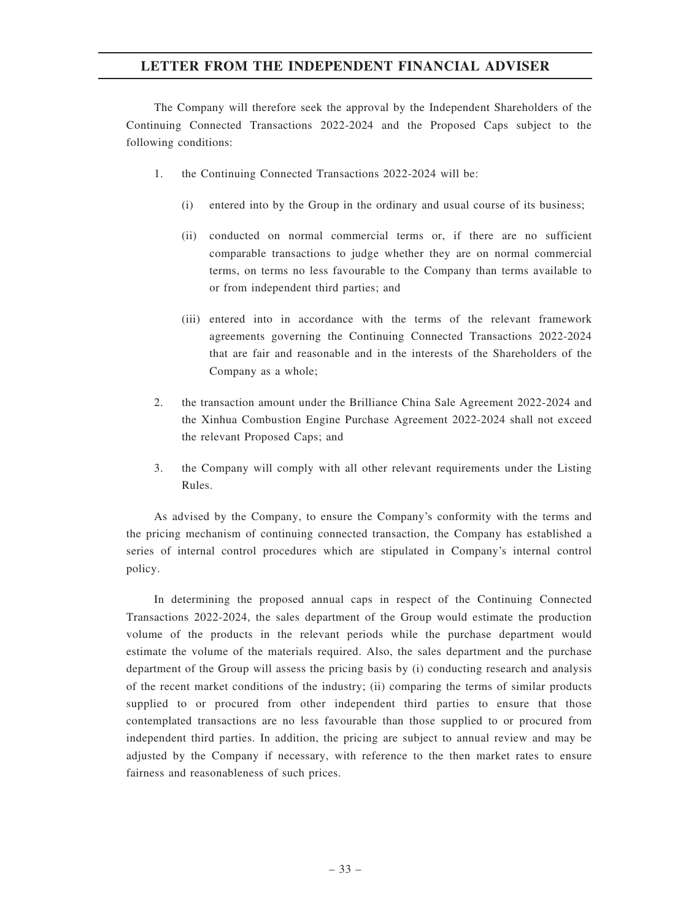The Company will therefore seek the approval by the Independent Shareholders of the Continuing Connected Transactions 2022-2024 and the Proposed Caps subject to the following conditions:

- 1. the Continuing Connected Transactions 2022-2024 will be:
	- (i) entered into by the Group in the ordinary and usual course of its business;
	- (ii) conducted on normal commercial terms or, if there are no sufficient comparable transactions to judge whether they are on normal commercial terms, on terms no less favourable to the Company than terms available to or from independent third parties; and
	- (iii) entered into in accordance with the terms of the relevant framework agreements governing the Continuing Connected Transactions 2022-2024 that are fair and reasonable and in the interests of the Shareholders of the Company as a whole;
- 2. the transaction amount under the Brilliance China Sale Agreement 2022-2024 and the Xinhua Combustion Engine Purchase Agreement 2022-2024 shall not exceed the relevant Proposed Caps; and
- 3. the Company will comply with all other relevant requirements under the Listing Rules.

As advised by the Company, to ensure the Company's conformity with the terms and the pricing mechanism of continuing connected transaction, the Company has established a series of internal control procedures which are stipulated in Company's internal control policy.

In determining the proposed annual caps in respect of the Continuing Connected Transactions 2022-2024, the sales department of the Group would estimate the production volume of the products in the relevant periods while the purchase department would estimate the volume of the materials required. Also, the sales department and the purchase department of the Group will assess the pricing basis by (i) conducting research and analysis of the recent market conditions of the industry; (ii) comparing the terms of similar products supplied to or procured from other independent third parties to ensure that those contemplated transactions are no less favourable than those supplied to or procured from independent third parties. In addition, the pricing are subject to annual review and may be adjusted by the Company if necessary, with reference to the then market rates to ensure fairness and reasonableness of such prices.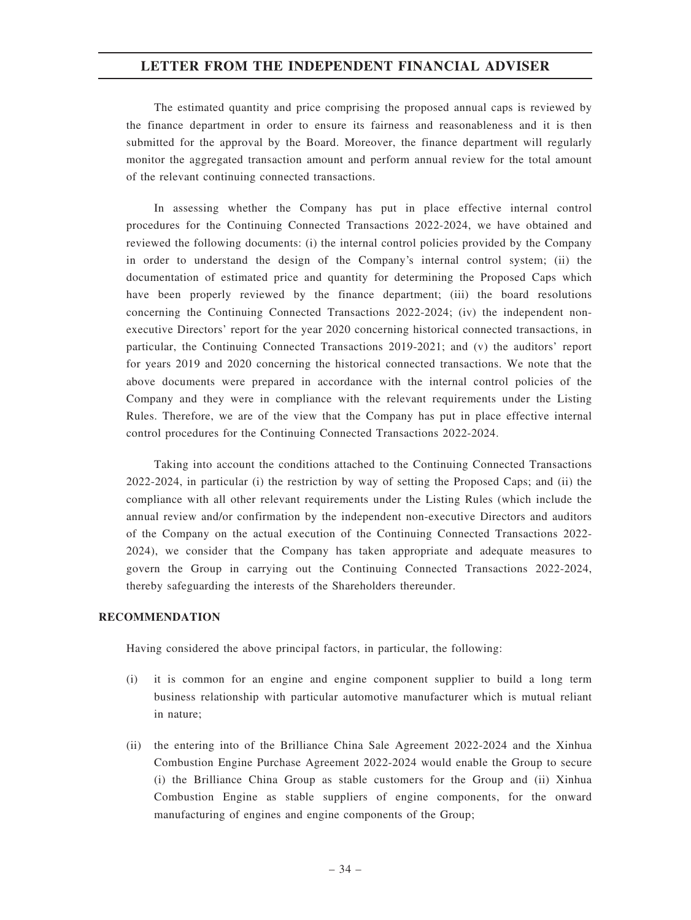The estimated quantity and price comprising the proposed annual caps is reviewed by the finance department in order to ensure its fairness and reasonableness and it is then submitted for the approval by the Board. Moreover, the finance department will regularly monitor the aggregated transaction amount and perform annual review for the total amount of the relevant continuing connected transactions.

In assessing whether the Company has put in place effective internal control procedures for the Continuing Connected Transactions 2022-2024, we have obtained and reviewed the following documents: (i) the internal control policies provided by the Company in order to understand the design of the Company's internal control system; (ii) the documentation of estimated price and quantity for determining the Proposed Caps which have been properly reviewed by the finance department; (iii) the board resolutions concerning the Continuing Connected Transactions 2022-2024; (iv) the independent nonexecutive Directors' report for the year 2020 concerning historical connected transactions, in particular, the Continuing Connected Transactions 2019-2021; and (v) the auditors' report for years 2019 and 2020 concerning the historical connected transactions. We note that the above documents were prepared in accordance with the internal control policies of the Company and they were in compliance with the relevant requirements under the Listing Rules. Therefore, we are of the view that the Company has put in place effective internal control procedures for the Continuing Connected Transactions 2022-2024.

Taking into account the conditions attached to the Continuing Connected Transactions 2022-2024, in particular (i) the restriction by way of setting the Proposed Caps; and (ii) the compliance with all other relevant requirements under the Listing Rules (which include the annual review and/or confirmation by the independent non-executive Directors and auditors of the Company on the actual execution of the Continuing Connected Transactions 2022- 2024), we consider that the Company has taken appropriate and adequate measures to govern the Group in carrying out the Continuing Connected Transactions 2022-2024, thereby safeguarding the interests of the Shareholders thereunder.

### RECOMMENDATION

Having considered the above principal factors, in particular, the following:

- (i) it is common for an engine and engine component supplier to build a long term business relationship with particular automotive manufacturer which is mutual reliant in nature;
- (ii) the entering into of the Brilliance China Sale Agreement 2022-2024 and the Xinhua Combustion Engine Purchase Agreement 2022-2024 would enable the Group to secure (i) the Brilliance China Group as stable customers for the Group and (ii) Xinhua Combustion Engine as stable suppliers of engine components, for the onward manufacturing of engines and engine components of the Group;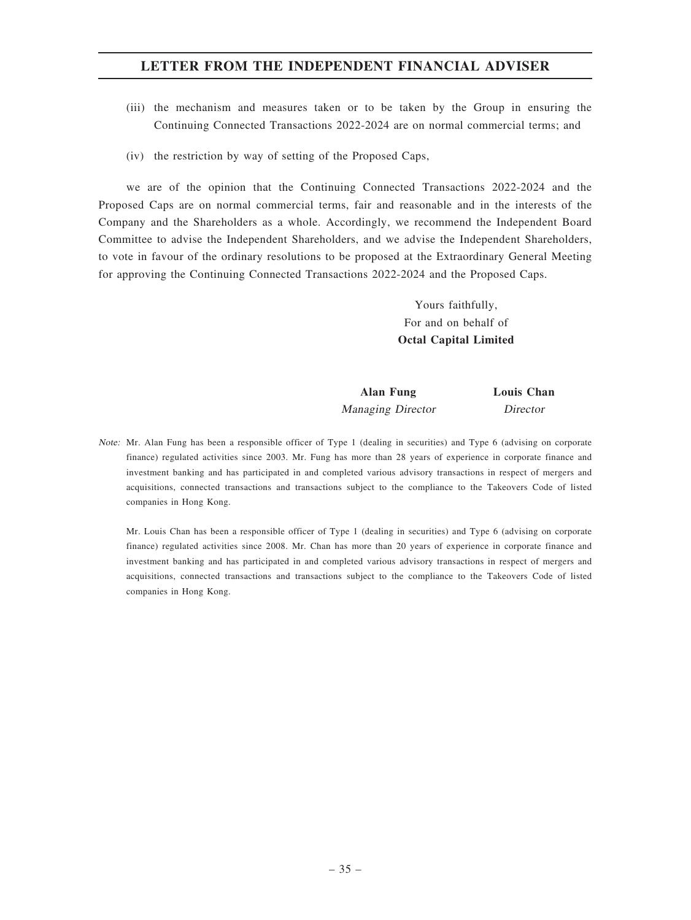- (iii) the mechanism and measures taken or to be taken by the Group in ensuring the Continuing Connected Transactions 2022-2024 are on normal commercial terms; and
- (iv) the restriction by way of setting of the Proposed Caps,

we are of the opinion that the Continuing Connected Transactions 2022-2024 and the Proposed Caps are on normal commercial terms, fair and reasonable and in the interests of the Company and the Shareholders as a whole. Accordingly, we recommend the Independent Board Committee to advise the Independent Shareholders, and we advise the Independent Shareholders, to vote in favour of the ordinary resolutions to be proposed at the Extraordinary General Meeting for approving the Continuing Connected Transactions 2022-2024 and the Proposed Caps.

> Yours faithfully, For and on behalf of Octal Capital Limited

Alan Fung Louis Chan Managing Director Director

Note: Mr. Alan Fung has been a responsible officer of Type 1 (dealing in securities) and Type 6 (advising on corporate finance) regulated activities since 2003. Mr. Fung has more than 28 years of experience in corporate finance and investment banking and has participated in and completed various advisory transactions in respect of mergers and acquisitions, connected transactions and transactions subject to the compliance to the Takeovers Code of listed companies in Hong Kong.

Mr. Louis Chan has been a responsible officer of Type 1 (dealing in securities) and Type 6 (advising on corporate finance) regulated activities since 2008. Mr. Chan has more than 20 years of experience in corporate finance and investment banking and has participated in and completed various advisory transactions in respect of mergers and acquisitions, connected transactions and transactions subject to the compliance to the Takeovers Code of listed companies in Hong Kong.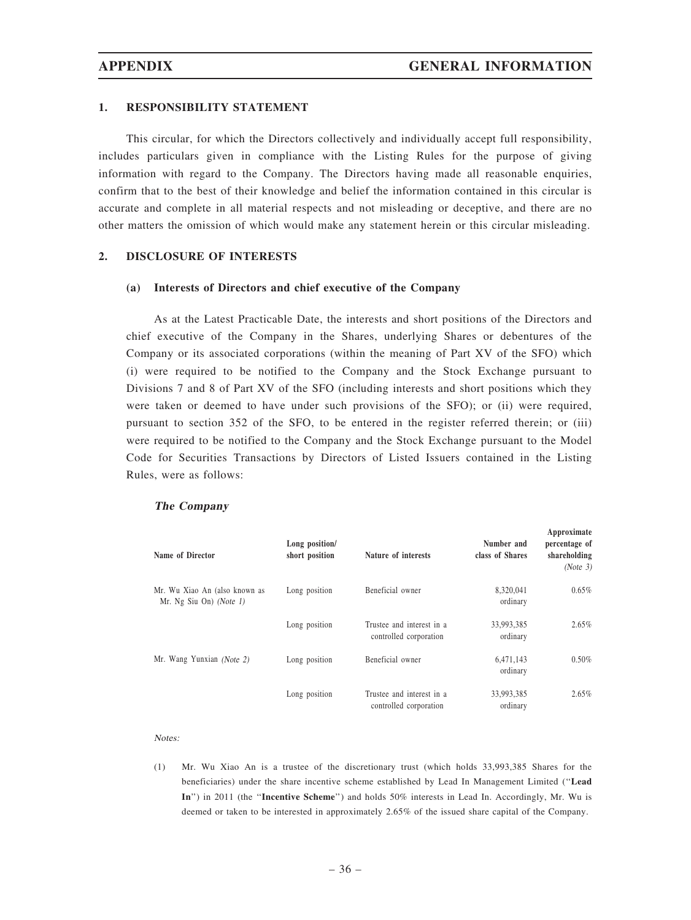$\lambda$  measurements and  $\lambda$ 

### 1. RESPONSIBILITY STATEMENT

This circular, for which the Directors collectively and individually accept full responsibility, includes particulars given in compliance with the Listing Rules for the purpose of giving information with regard to the Company. The Directors having made all reasonable enquiries, confirm that to the best of their knowledge and belief the information contained in this circular is accurate and complete in all material respects and not misleading or deceptive, and there are no other matters the omission of which would make any statement herein or this circular misleading.

### 2. DISCLOSURE OF INTERESTS

### (a) Interests of Directors and chief executive of the Company

As at the Latest Practicable Date, the interests and short positions of the Directors and chief executive of the Company in the Shares, underlying Shares or debentures of the Company or its associated corporations (within the meaning of Part XV of the SFO) which (i) were required to be notified to the Company and the Stock Exchange pursuant to Divisions 7 and 8 of Part XV of the SFO (including interests and short positions which they were taken or deemed to have under such provisions of the SFO); or (ii) were required, pursuant to section 352 of the SFO, to be entered in the register referred therein; or (iii) were required to be notified to the Company and the Stock Exchange pursuant to the Model Code for Securities Transactions by Directors of Listed Issuers contained in the Listing Rules, were as follows:

#### The Company

| Name of Director                                            | Long position/<br>short position | Nature of interests                                 | Number and<br>class of Shares | Approximate<br>percentage of<br>shareholding<br>(Note 3) |
|-------------------------------------------------------------|----------------------------------|-----------------------------------------------------|-------------------------------|----------------------------------------------------------|
| Mr. Wu Xiao An (also known as<br>Mr. Ng Siu On) (Note $1$ ) | Long position                    | Beneficial owner                                    | 8,320,041<br>ordinary         | $0.65\%$                                                 |
|                                                             | Long position                    | Trustee and interest in a<br>controlled corporation | 33,993,385<br>ordinary        | $2.65\%$                                                 |
| Mr. Wang Yunxian (Note 2)                                   | Long position                    | Beneficial owner                                    | 6,471,143<br>ordinary         | $0.50\%$                                                 |
|                                                             | Long position                    | Trustee and interest in a<br>controlled corporation | 33,993,385<br>ordinary        | $2.65\%$                                                 |

#### Notes:

(1) Mr. Wu Xiao An is a trustee of the discretionary trust (which holds 33,993,385 Shares for the beneficiaries) under the share incentive scheme established by Lead In Management Limited (''Lead In") in 2011 (the "Incentive Scheme") and holds 50% interests in Lead In. Accordingly, Mr. Wu is deemed or taken to be interested in approximately 2.65% of the issued share capital of the Company.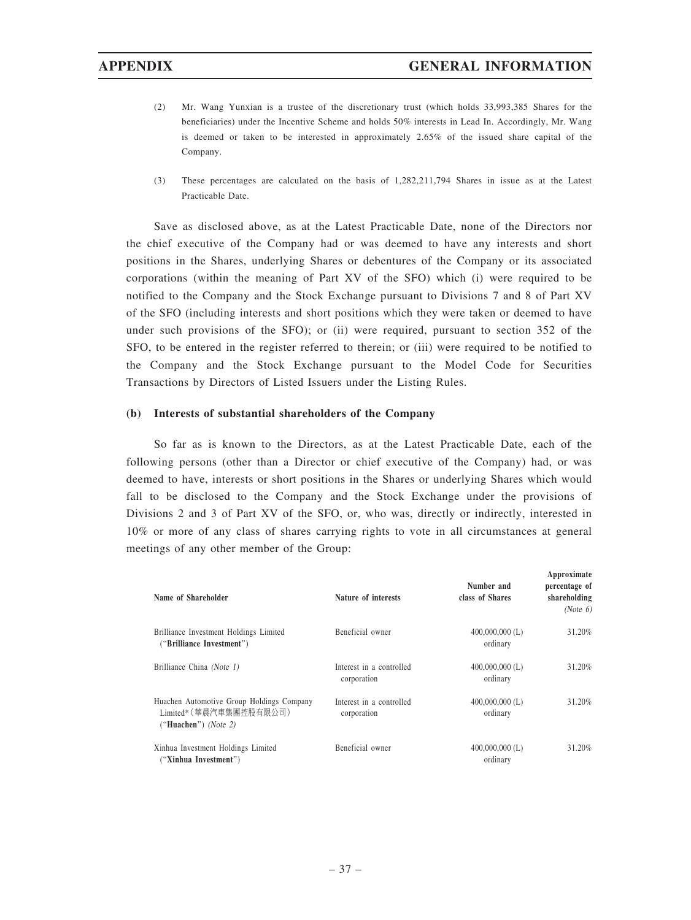- (2) Mr. Wang Yunxian is a trustee of the discretionary trust (which holds 33,993,385 Shares for the beneficiaries) under the Incentive Scheme and holds 50% interests in Lead In. Accordingly, Mr. Wang is deemed or taken to be interested in approximately 2.65% of the issued share capital of the Company.
- (3) These percentages are calculated on the basis of 1,282,211,794 Shares in issue as at the Latest Practicable Date.

Save as disclosed above, as at the Latest Practicable Date, none of the Directors nor the chief executive of the Company had or was deemed to have any interests and short positions in the Shares, underlying Shares or debentures of the Company or its associated corporations (within the meaning of Part XV of the SFO) which (i) were required to be notified to the Company and the Stock Exchange pursuant to Divisions 7 and 8 of Part XV of the SFO (including interests and short positions which they were taken or deemed to have under such provisions of the SFO); or (ii) were required, pursuant to section 352 of the SFO, to be entered in the register referred to therein; or (iii) were required to be notified to the Company and the Stock Exchange pursuant to the Model Code for Securities Transactions by Directors of Listed Issuers under the Listing Rules.

### (b) Interests of substantial shareholders of the Company

So far as is known to the Directors, as at the Latest Practicable Date, each of the following persons (other than a Director or chief executive of the Company) had, or was deemed to have, interests or short positions in the Shares or underlying Shares which would fall to be disclosed to the Company and the Stock Exchange under the provisions of Divisions 2 and 3 of Part XV of the SFO, or, who was, directly or indirectly, interested in 10% or more of any class of shares carrying rights to vote in all circumstances at general meetings of any other member of the Group:

| Name of Shareholder                                                                          | Nature of interests                     | Number and<br>class of Shares | Approximate<br>percentage of<br>shareholding<br>(Note 6) |
|----------------------------------------------------------------------------------------------|-----------------------------------------|-------------------------------|----------------------------------------------------------|
| Brilliance Investment Holdings Limited<br>("Brilliance Investment")                          | Beneficial owner                        | $400,000,000$ (L)<br>ordinary | 31.20%                                                   |
| Brilliance China (Note 1)                                                                    | Interest in a controlled<br>corporation | $400,000,000$ (L)<br>ordinary | 31.20%                                                   |
| Huachen Automotive Group Holdings Company<br>Limited* (華晨汽車集團控股有限公司)<br>("Huachen") (Note 2) | Interest in a controlled<br>corporation | $400,000,000$ (L)<br>ordinary | 31.20%                                                   |
| Xinhua Investment Holdings Limited<br>("Xinhua Investment")                                  | Beneficial owner                        | $400,000,000$ (L)<br>ordinary | 31.20%                                                   |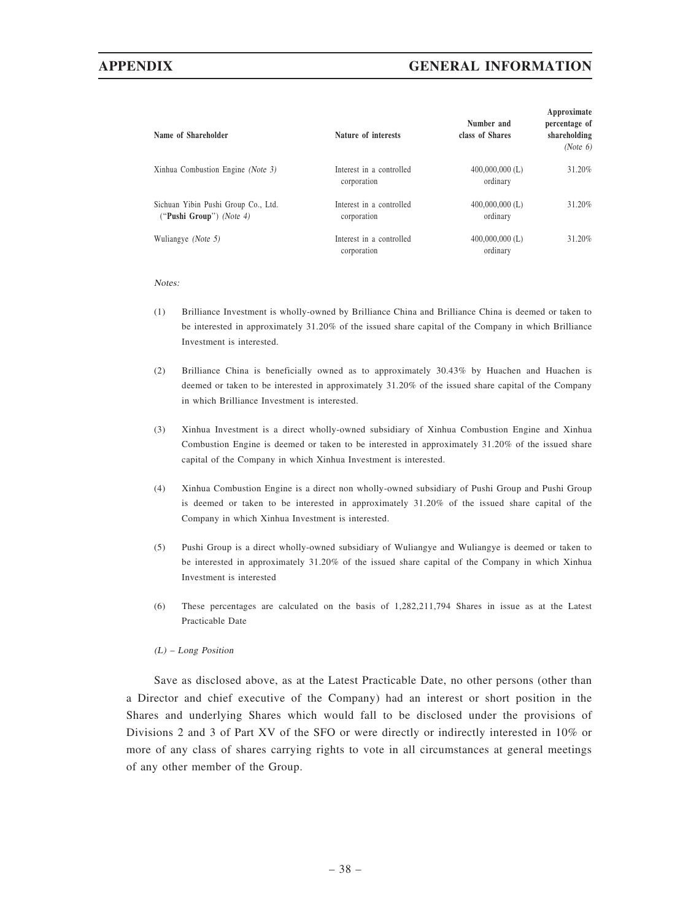# APPENDIX GENERAL INFORMATION

| Name of Shareholder                                             | Nature of interests                     | Number and<br>class of Shares | Approximate<br>percentage of<br>shareholding<br>(Note 6) |
|-----------------------------------------------------------------|-----------------------------------------|-------------------------------|----------------------------------------------------------|
| Xinhua Combustion Engine (Note 3)                               | Interest in a controlled<br>corporation | $400,000,000$ (L)<br>ordinary | 31.20%                                                   |
| Sichuan Yibin Pushi Group Co., Ltd.<br>("Pushi Group") (Note 4) | Interest in a controlled<br>corporation | $400,000,000$ (L)<br>ordinary | 31.20%                                                   |
| Wuliangye (Note 5)                                              | Interest in a controlled<br>corporation | $400,000,000$ (L)<br>ordinary | 31.20%                                                   |

#### Notes:

- (1) Brilliance Investment is wholly-owned by Brilliance China and Brilliance China is deemed or taken to be interested in approximately 31.20% of the issued share capital of the Company in which Brilliance Investment is interested.
- (2) Brilliance China is beneficially owned as to approximately 30.43% by Huachen and Huachen is deemed or taken to be interested in approximately 31.20% of the issued share capital of the Company in which Brilliance Investment is interested.
- (3) Xinhua Investment is a direct wholly-owned subsidiary of Xinhua Combustion Engine and Xinhua Combustion Engine is deemed or taken to be interested in approximately 31.20% of the issued share capital of the Company in which Xinhua Investment is interested.
- (4) Xinhua Combustion Engine is a direct non wholly-owned subsidiary of Pushi Group and Pushi Group is deemed or taken to be interested in approximately 31.20% of the issued share capital of the Company in which Xinhua Investment is interested.
- (5) Pushi Group is a direct wholly-owned subsidiary of Wuliangye and Wuliangye is deemed or taken to be interested in approximately 31.20% of the issued share capital of the Company in which Xinhua Investment is interested
- (6) These percentages are calculated on the basis of 1,282,211,794 Shares in issue as at the Latest Practicable Date

### (L) – Long Position

Save as disclosed above, as at the Latest Practicable Date, no other persons (other than a Director and chief executive of the Company) had an interest or short position in the Shares and underlying Shares which would fall to be disclosed under the provisions of Divisions 2 and 3 of Part XV of the SFO or were directly or indirectly interested in 10% or more of any class of shares carrying rights to vote in all circumstances at general meetings of any other member of the Group.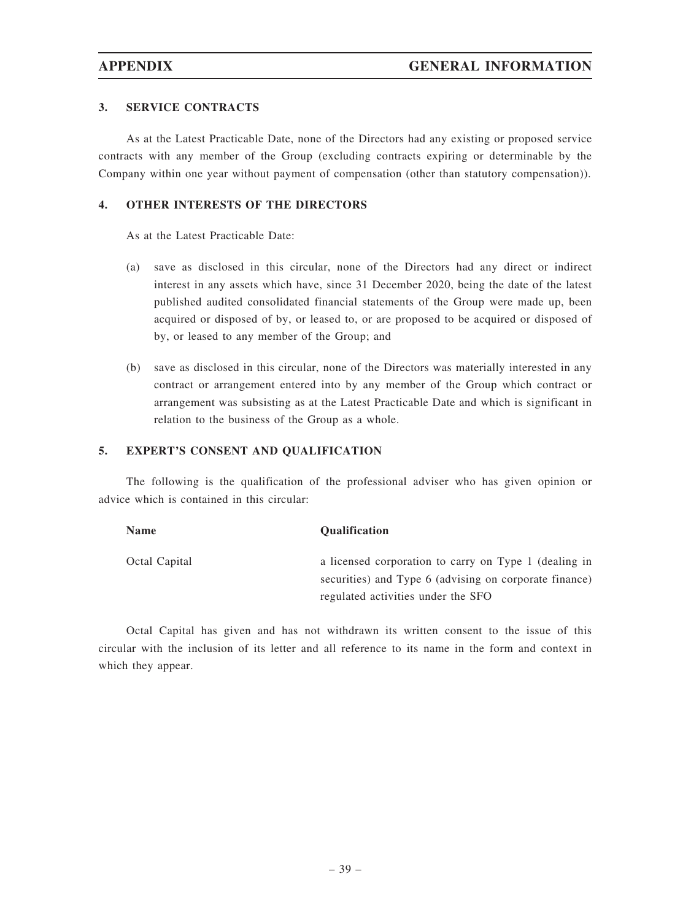## 3. SERVICE CONTRACTS

As at the Latest Practicable Date, none of the Directors had any existing or proposed service contracts with any member of the Group (excluding contracts expiring or determinable by the Company within one year without payment of compensation (other than statutory compensation)).

# 4. OTHER INTERESTS OF THE DIRECTORS

As at the Latest Practicable Date:

- (a) save as disclosed in this circular, none of the Directors had any direct or indirect interest in any assets which have, since 31 December 2020, being the date of the latest published audited consolidated financial statements of the Group were made up, been acquired or disposed of by, or leased to, or are proposed to be acquired or disposed of by, or leased to any member of the Group; and
- (b) save as disclosed in this circular, none of the Directors was materially interested in any contract or arrangement entered into by any member of the Group which contract or arrangement was subsisting as at the Latest Practicable Date and which is significant in relation to the business of the Group as a whole.

### 5. EXPERT'S CONSENT AND QUALIFICATION

The following is the qualification of the professional adviser who has given opinion or advice which is contained in this circular:

| <b>Name</b>   | <b>Oualification</b>                                                                                            |
|---------------|-----------------------------------------------------------------------------------------------------------------|
| Octal Capital | a licensed corporation to carry on Type 1 (dealing in<br>securities) and Type 6 (advising on corporate finance) |
|               | regulated activities under the SFO                                                                              |

Octal Capital has given and has not withdrawn its written consent to the issue of this circular with the inclusion of its letter and all reference to its name in the form and context in which they appear.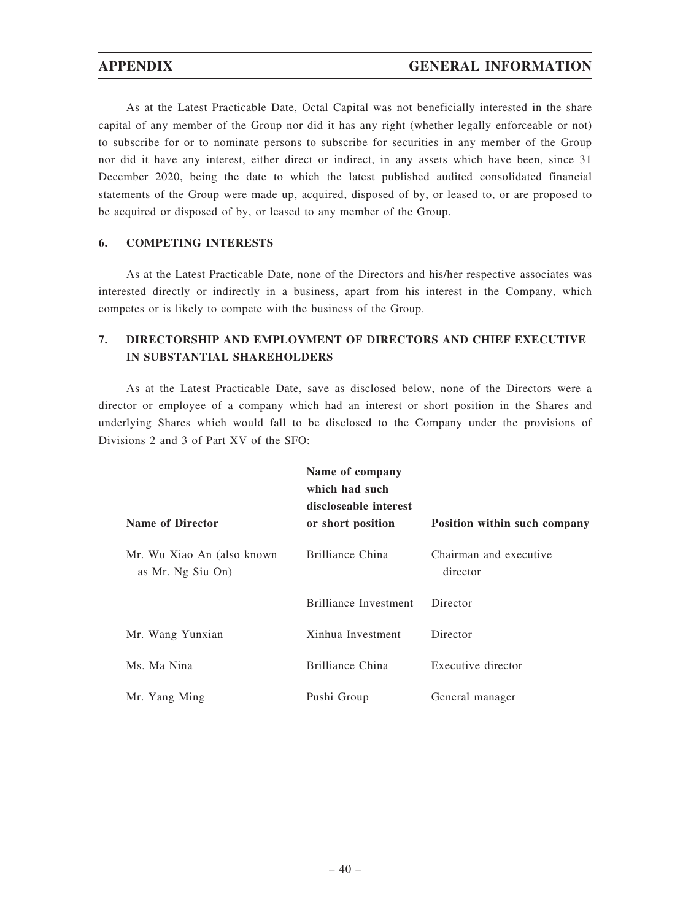As at the Latest Practicable Date, Octal Capital was not beneficially interested in the share capital of any member of the Group nor did it has any right (whether legally enforceable or not) to subscribe for or to nominate persons to subscribe for securities in any member of the Group nor did it have any interest, either direct or indirect, in any assets which have been, since 31 December 2020, being the date to which the latest published audited consolidated financial statements of the Group were made up, acquired, disposed of by, or leased to, or are proposed to be acquired or disposed of by, or leased to any member of the Group.

# 6. COMPETING INTERESTS

As at the Latest Practicable Date, none of the Directors and his/her respective associates was interested directly or indirectly in a business, apart from his interest in the Company, which competes or is likely to compete with the business of the Group.

# 7. DIRECTORSHIP AND EMPLOYMENT OF DIRECTORS AND CHIEF EXECUTIVE IN SUBSTANTIAL SHAREHOLDERS

As at the Latest Practicable Date, save as disclosed below, none of the Directors were a director or employee of a company which had an interest or short position in the Shares and underlying Shares which would fall to be disclosed to the Company under the provisions of Divisions 2 and 3 of Part XV of the SFO:

| <b>Name of Director</b>                          | Name of company<br>which had such<br>discloseable interest<br>or short position | Position within such company       |
|--------------------------------------------------|---------------------------------------------------------------------------------|------------------------------------|
| Mr. Wu Xiao An (also known)<br>as Mr. Ng Siu On) | Brilliance China                                                                | Chairman and executive<br>director |
|                                                  | Brilliance Investment                                                           | Director                           |
| Mr. Wang Yunxian                                 | Xinhua Investment                                                               | Director                           |
| Ms. Ma Nina                                      | Brilliance China                                                                | Executive director                 |
| Mr. Yang Ming                                    | Pushi Group                                                                     | General manager                    |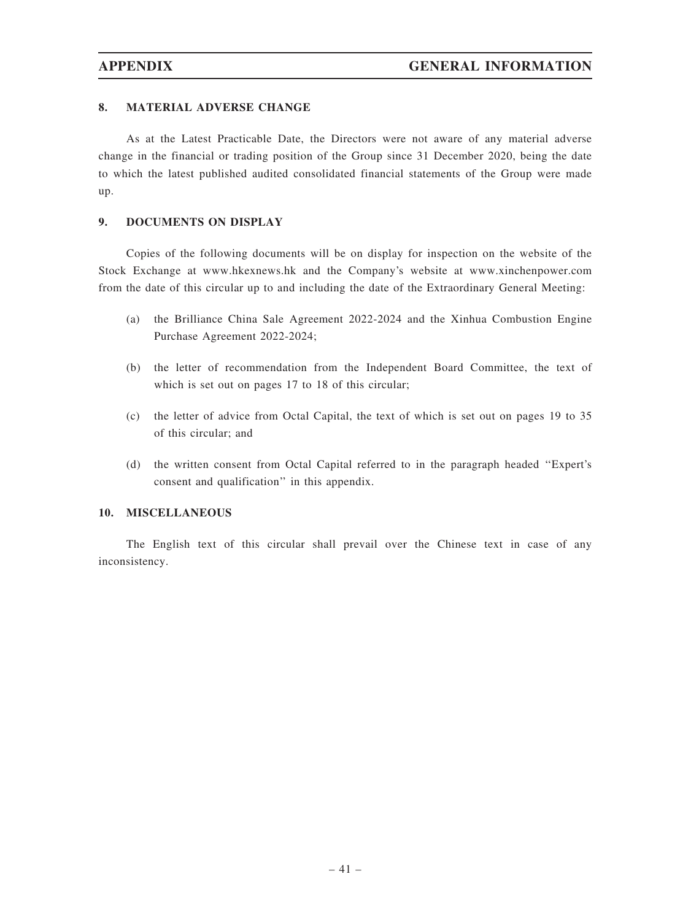## 8. MATERIAL ADVERSE CHANGE

As at the Latest Practicable Date, the Directors were not aware of any material adverse change in the financial or trading position of the Group since 31 December 2020, being the date to which the latest published audited consolidated financial statements of the Group were made up.

# 9. DOCUMENTS ON DISPLAY

Copies of the following documents will be on display for inspection on the website of the Stock Exchange at www.hkexnews.hk and the Company's website at www.xinchenpower.com from the date of this circular up to and including the date of the Extraordinary General Meeting:

- (a) the Brilliance China Sale Agreement 2022-2024 and the Xinhua Combustion Engine Purchase Agreement 2022-2024;
- (b) the letter of recommendation from the Independent Board Committee, the text of which is set out on pages 17 to 18 of this circular;
- (c) the letter of advice from Octal Capital, the text of which is set out on pages 19 to 35 of this circular; and
- (d) the written consent from Octal Capital referred to in the paragraph headed ''Expert's consent and qualification'' in this appendix.

### 10. MISCELLANEOUS

The English text of this circular shall prevail over the Chinese text in case of any inconsistency.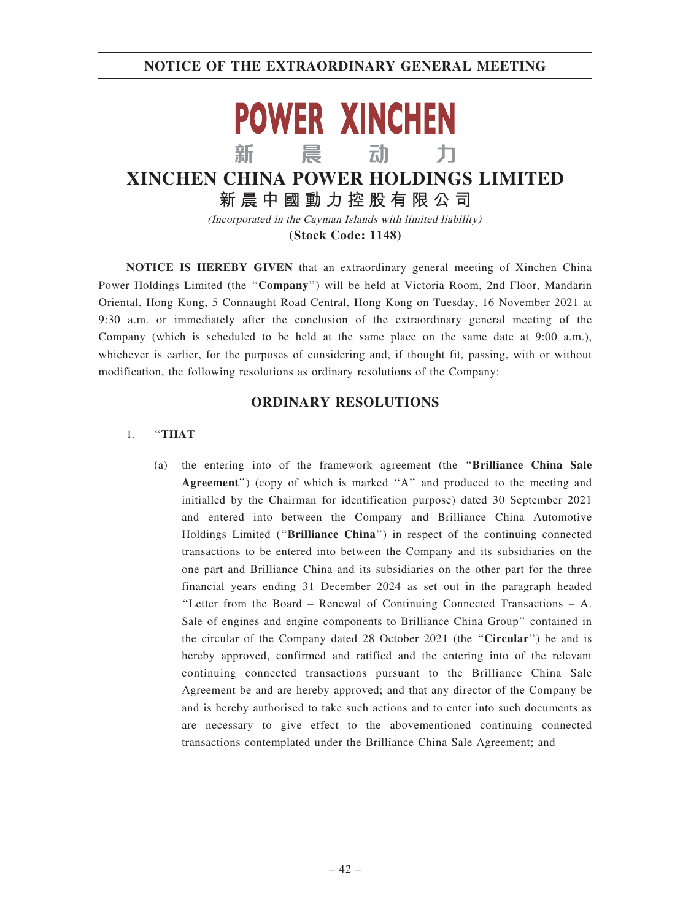

# **XINCHEN CHINA POWER HOLDINGS LIMITED 新晨中國動力控股有限公司**

(Incorporated in the Cayman Islands with limited liability) **(Stock Code: 1148)**

NOTICE IS HEREBY GIVEN that an extraordinary general meeting of Xinchen China Power Holdings Limited (the "Company") will be held at Victoria Room, 2nd Floor, Mandarin Oriental, Hong Kong, 5 Connaught Road Central, Hong Kong on Tuesday, 16 November 2021 at 9:30 a.m. or immediately after the conclusion of the extraordinary general meeting of the Company (which is scheduled to be held at the same place on the same date at 9:00 a.m.), whichever is earlier, for the purposes of considering and, if thought fit, passing, with or without modification, the following resolutions as ordinary resolutions of the Company:

# ORDINARY RESOLUTIONS

### 1. ''THAT

(a) the entering into of the framework agreement (the ''Brilliance China Sale Agreement") (copy of which is marked "A" and produced to the meeting and initialled by the Chairman for identification purpose) dated 30 September 2021 and entered into between the Company and Brilliance China Automotive Holdings Limited (''Brilliance China'') in respect of the continuing connected transactions to be entered into between the Company and its subsidiaries on the one part and Brilliance China and its subsidiaries on the other part for the three financial years ending 31 December 2024 as set out in the paragraph headed ''Letter from the Board – Renewal of Continuing Connected Transactions – A. Sale of engines and engine components to Brilliance China Group'' contained in the circular of the Company dated 28 October 2021 (the ''Circular'') be and is hereby approved, confirmed and ratified and the entering into of the relevant continuing connected transactions pursuant to the Brilliance China Sale Agreement be and are hereby approved; and that any director of the Company be and is hereby authorised to take such actions and to enter into such documents as are necessary to give effect to the abovementioned continuing connected transactions contemplated under the Brilliance China Sale Agreement; and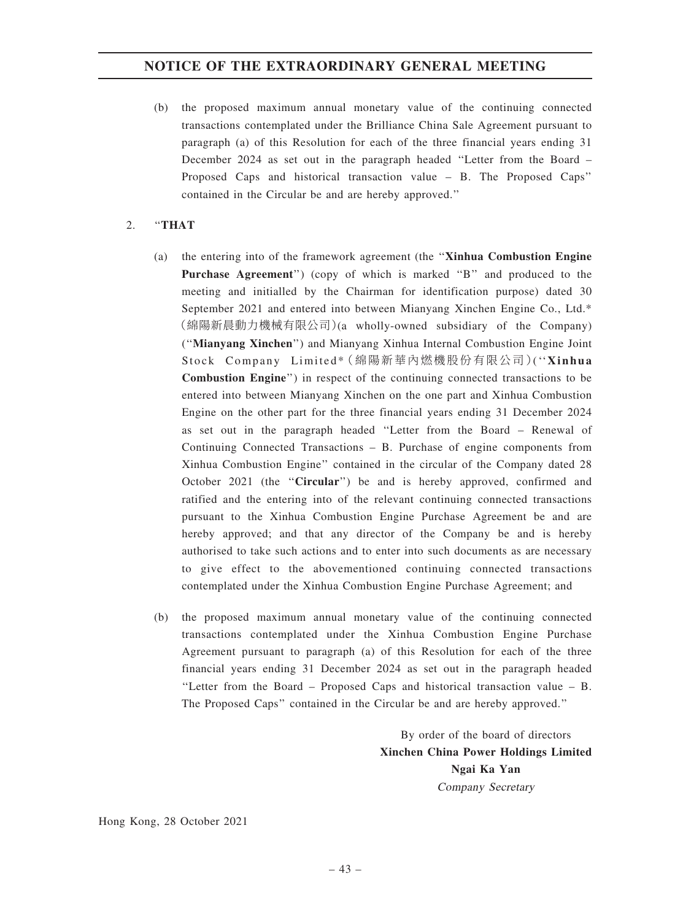(b) the proposed maximum annual monetary value of the continuing connected transactions contemplated under the Brilliance China Sale Agreement pursuant to paragraph (a) of this Resolution for each of the three financial years ending 31 December 2024 as set out in the paragraph headed ''Letter from the Board – Proposed Caps and historical transaction value – B. The Proposed Caps'' contained in the Circular be and are hereby approved.''

# 2. ''THAT

- (a) the entering into of the framework agreement (the ''Xinhua Combustion Engine Purchase Agreement") (copy of which is marked "B" and produced to the meeting and initialled by the Chairman for identification purpose) dated 30 September 2021 and entered into between Mianyang Xinchen Engine Co., Ltd.\* (綿陽新晨動力機械有限公司)(a wholly-owned subsidiary of the Company) (''Mianyang Xinchen'') and Mianyang Xinhua Internal Combustion Engine Joint Stock Company Limited\*( 綿陽新華內燃機股份有限公司 )(''Xinhua Combustion Engine'') in respect of the continuing connected transactions to be entered into between Mianyang Xinchen on the one part and Xinhua Combustion Engine on the other part for the three financial years ending 31 December 2024 as set out in the paragraph headed ''Letter from the Board – Renewal of Continuing Connected Transactions – B. Purchase of engine components from Xinhua Combustion Engine'' contained in the circular of the Company dated 28 October 2021 (the "Circular") be and is hereby approved, confirmed and ratified and the entering into of the relevant continuing connected transactions pursuant to the Xinhua Combustion Engine Purchase Agreement be and are hereby approved; and that any director of the Company be and is hereby authorised to take such actions and to enter into such documents as are necessary to give effect to the abovementioned continuing connected transactions contemplated under the Xinhua Combustion Engine Purchase Agreement; and
- (b) the proposed maximum annual monetary value of the continuing connected transactions contemplated under the Xinhua Combustion Engine Purchase Agreement pursuant to paragraph (a) of this Resolution for each of the three financial years ending 31 December 2024 as set out in the paragraph headed ''Letter from the Board – Proposed Caps and historical transaction value – B. The Proposed Caps'' contained in the Circular be and are hereby approved.''

By order of the board of directors Xinchen China Power Holdings Limited Ngai Ka Yan Company Secretary

Hong Kong, 28 October 2021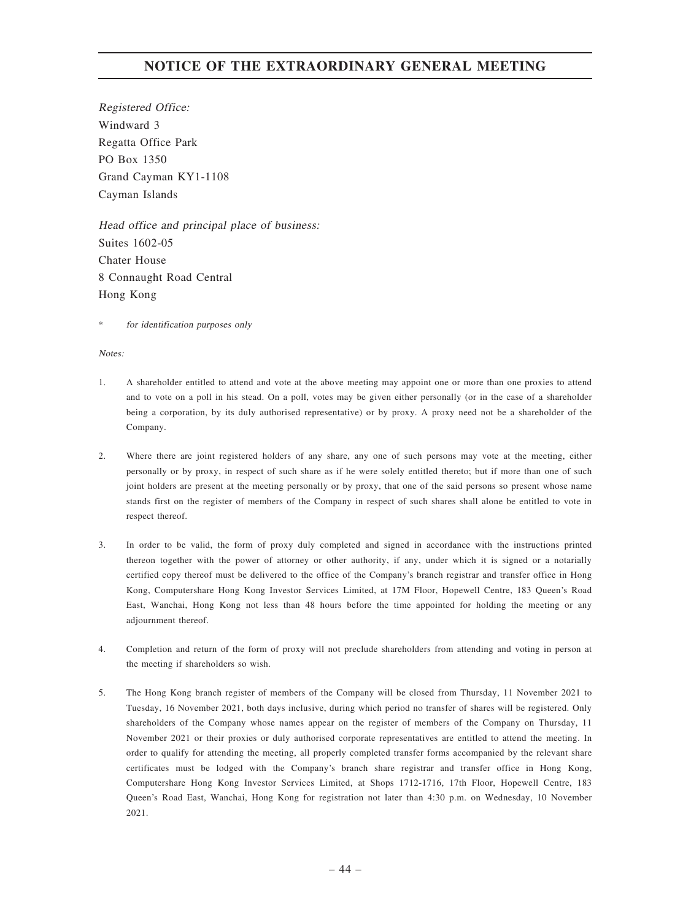Registered Office: Windward 3 Regatta Office Park PO Box 1350 Grand Cayman KY1-1108 Cayman Islands

Head office and principal place of business: Suites 1602-05 Chater House 8 Connaught Road Central Hong Kong

for identification purposes only

Notes:

- 1. A shareholder entitled to attend and vote at the above meeting may appoint one or more than one proxies to attend and to vote on a poll in his stead. On a poll, votes may be given either personally (or in the case of a shareholder being a corporation, by its duly authorised representative) or by proxy. A proxy need not be a shareholder of the Company.
- 2. Where there are joint registered holders of any share, any one of such persons may vote at the meeting, either personally or by proxy, in respect of such share as if he were solely entitled thereto; but if more than one of such joint holders are present at the meeting personally or by proxy, that one of the said persons so present whose name stands first on the register of members of the Company in respect of such shares shall alone be entitled to vote in respect thereof.
- 3. In order to be valid, the form of proxy duly completed and signed in accordance with the instructions printed thereon together with the power of attorney or other authority, if any, under which it is signed or a notarially certified copy thereof must be delivered to the office of the Company's branch registrar and transfer office in Hong Kong, Computershare Hong Kong Investor Services Limited, at 17M Floor, Hopewell Centre, 183 Queen's Road East, Wanchai, Hong Kong not less than 48 hours before the time appointed for holding the meeting or any adjournment thereof.
- 4. Completion and return of the form of proxy will not preclude shareholders from attending and voting in person at the meeting if shareholders so wish.
- 5. The Hong Kong branch register of members of the Company will be closed from Thursday, 11 November 2021 to Tuesday, 16 November 2021, both days inclusive, during which period no transfer of shares will be registered. Only shareholders of the Company whose names appear on the register of members of the Company on Thursday, 11 November 2021 or their proxies or duly authorised corporate representatives are entitled to attend the meeting. In order to qualify for attending the meeting, all properly completed transfer forms accompanied by the relevant share certificates must be lodged with the Company's branch share registrar and transfer office in Hong Kong, Computershare Hong Kong Investor Services Limited, at Shops 1712-1716, 17th Floor, Hopewell Centre, 183 Queen's Road East, Wanchai, Hong Kong for registration not later than 4:30 p.m. on Wednesday, 10 November 2021.